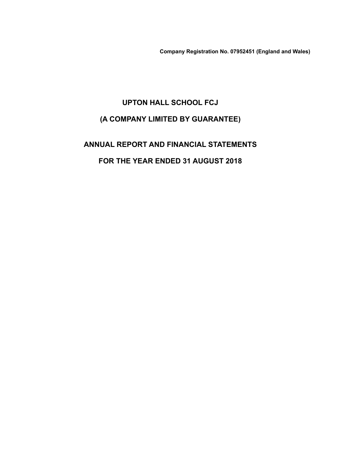**Company Registration No. 07952451 (England and Wales)**

# **UPTON HALL SCHOOL FCJ (A COMPANY LIMITED BY GUARANTEE)**

**ANNUAL REPORT AND FINANCIAL STATEMENTS FOR THE YEAR ENDED 31 AUGUST 2018**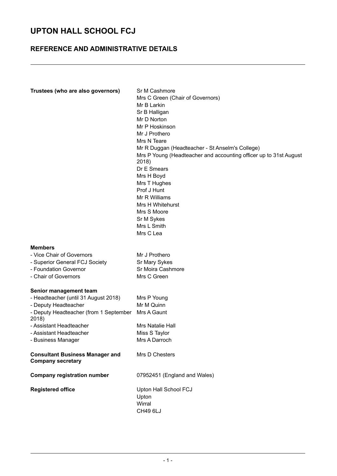### **REFERENCE AND ADMINISTRATIVE DETAILS**

| Trustees (who are also governors)                                                                                                                                                                                     | Sr M Cashmore<br>Mrs C Green (Chair of Governors)<br>Mr B Larkin<br>Sr B Halligan<br>Mr D Norton<br>Mr P Hoskinson<br>Mr J Prothero<br>Mrs N Teare<br>Mr R Duggan (Headteacher - St Anselm's College)<br>Mrs P Young (Headteacher and accounting officer up to 31st August<br>2018)<br>Dr E Smears<br>Mrs H Boyd<br>Mrs T Hughes<br>Prof J Hunt<br>Mr R Williams<br>Mrs H Whitehurst<br>Mrs S Moore<br>Sr M Sykes<br>Mrs L Smith<br>Mrs C Lea |
|-----------------------------------------------------------------------------------------------------------------------------------------------------------------------------------------------------------------------|-----------------------------------------------------------------------------------------------------------------------------------------------------------------------------------------------------------------------------------------------------------------------------------------------------------------------------------------------------------------------------------------------------------------------------------------------|
| <b>Members</b><br>- Vice Chair of Governors<br>- Superior General FCJ Society<br>- Foundation Governor<br>- Chair of Governors                                                                                        | Mr J Prothero<br>Sr Mary Sykes<br>Sr Moira Cashmore<br>Mrs C Green                                                                                                                                                                                                                                                                                                                                                                            |
| Senior management team<br>- Headteacher (until 31 August 2018)<br>- Deputy Headteacher<br>- Deputy Headteacher (from 1 September<br>2018)<br>- Assistant Headteacher<br>- Assistant Headteacher<br>- Business Manager | Mrs P Young<br>Mr M Quinn<br>Mrs A Gaunt<br>Mrs Natalie Hall<br>Miss S Taylor<br>Mrs A Darroch                                                                                                                                                                                                                                                                                                                                                |
| <b>Consultant Business Manager and</b><br><b>Company secretary</b>                                                                                                                                                    | Mrs D Chesters                                                                                                                                                                                                                                                                                                                                                                                                                                |
| <b>Company registration number</b>                                                                                                                                                                                    | 07952451 (England and Wales)                                                                                                                                                                                                                                                                                                                                                                                                                  |
| <b>Registered office</b>                                                                                                                                                                                              | Upton Hall School FCJ<br>Upton<br>Wirral<br>CH49 6LJ                                                                                                                                                                                                                                                                                                                                                                                          |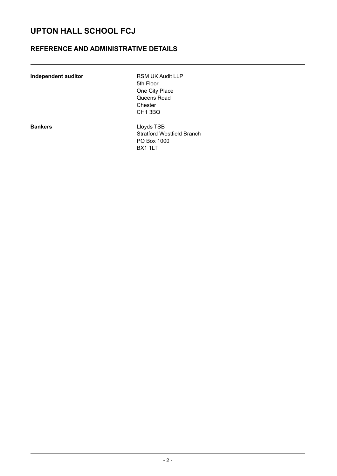### **REFERENCE AND ADMINISTRATIVE DETAILS**

| Independent auditor |  |
|---------------------|--|
|---------------------|--|

**RSM UK Audit LLP** 5th Floor One City Place Queens Road Chester CH1 3BQ

**Bankers** Lloyds TSB Stratford Westfield Branch PO Box 1000 BX1 1LT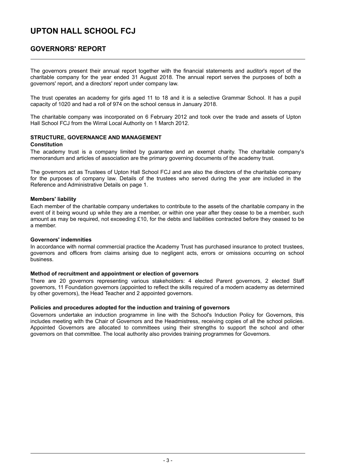### **GOVERNORS' REPORT**

The governors present their annual report together with the financial statements and auditor's report of the charitable company for the year ended 31 August 2018. The annual report serves the purposes of both a governors' report, and a directors' report under company law.

The trust operates an academy for girls aged 11 to 18 and it is a selective Grammar School. It has a pupil capacity of 1020 and had a roll of 974 on the school census in January 2018.

The charitable company was incorporated on 6 February 2012 and took over the trade and assets of Upton Hall School FCJ from the Wirral Local Authority on 1 March 2012.

#### **STRUCTURE, GOVERNANCE AND MANAGEMENT Constitution**

The academy trust is a company limited by guarantee and an exempt charity. The charitable company's memorandum and articles of association are the primary governing documents of the academy trust.

The governors act as Trustees of Upton Hall School FCJ and are also the directors of the charitable company for the purposes of company law. Details of the trustees who served during the year are included in the Reference and Administrative Details on page 1.

### **Members' liability**

Each member of the charitable company undertakes to contribute to the assets of the charitable company in the event of it being wound up while they are a member, or within one year after they cease to be a member, such amount as may be required, not exceeding £10, for the debts and liabilities contracted before they ceased to be a member.

### **Governors' indemnities**

In accordance with normal commercial practice the Academy Trust has purchased insurance to protect trustees, governors and officers from claims arising due to negligent acts, errors or omissions occurring on school business.

#### **Method of recruitment and appointment or election of governors**

There are 20 governors representing various stakeholders: 4 elected Parent governors, 2 elected Staff governors, 11 Foundation governors (appointed to reflect the skills required of a modern academy as determined by other governors), the Head Teacher and 2 appointed governors.

### **Policies and procedures adopted for the induction and training of governors**

Governors undertake an induction programme in line with the School's Induction Policy for Governors, this includes meeting with the Chair of Governors and the Headmistress, receiving copies of all the school policies. Appointed Governors are allocated to committees using their strengths to support the school and other governors on that committee. The local authority also provides training programmes for Governors.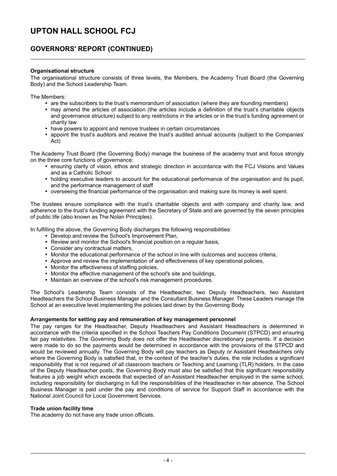### **GOVERNORS' REPORT (CONTINUED)**

### **Organisational structure**

The organisational structure consists of three levels, the Members, the Academy Trust Board (the Governing Body) and the School Leadership Team.

The Members:

- are the subscribers to the trust's memorandum of association (where they are founding members)
- y may amend the articles of association (the articles include a definition of the trust's charitable objects and governance structure) subject to any restrictions in the articles or in the trust's funding agreement or charity law
- have powers to appoint and remove trustees in certain circumstances
- appoint the trust's auditors and receive the trust's audited annual accounts (subject to the Companies' Act)

The Academy Trust Board (the Governing Body) manage the business of the academy trust and focus strongly on the three core functions of governance:

- ensuring clarity of vision, ethos and strategic direction in accordance with the FCJ Visions and Values and as a Catholic School
- holding executive leaders to account for the educational performance of the organisation and its pupil, and the performance management of staff
- y overseeing the financial performance of the organisation and making sure its money is well spent.

The trustees ensure compliance with the trust's charitable objects and with company and charity law, and adherence to the trust's funding agreement with the Secretary of State and are governed by the seven principles of public life (also known as The Nolan Principles).

In fulfilling the above, the Governing Body discharges the following responsibilities:

- Develop and review the School's Improvement Plan,
- Review and monitor the School's financial position on a regular basis,
- Consider any contractual matters,
- Monitor the educational performance of the school in line with outcomes and success criteria,
- Approve and review the implementation of and effectiveness of key operational policies,
- Monitor the effectiveness of staffing policies,
- Monitor the effective management of the school's site and buildings,
- Maintain an overview of the school's risk management procedures.

The School's Leadership Team consists of the Headteacher, two Deputy Headteachers, two Assistant Headteachers the School Business Manager and the Consultant Business Manager. These Leaders manage the School at an executive level implementing the policies laid down by the Governing Body.

### **Arrangements for setting pay and remuneration of key management personnel**

The pay ranges for the Headteacher, Deputy Headteachers and Assistant Headteachers is determined in accordance with the criteria specified in the School Teachers Pay Conditions Document (STPCD) and ensuring fair pay relativities. The Governing Body does not offer the Headteacher discretionary payments. If a decision were made to do so the payments would be determined in accordance with the provisions of the STPCD and would be reviewed annually. The Governing Body will pay teachers as Deputy or Assistant Headteachers only where the Governing Body is satisfied that, in the context of the teacher's duties, the role includes a significant responsibility that is not required of all classroom teachers or Teaching and Learning (TLR) holders. In the case of the Deputy Headteacher posts, the Governing Body must also be satisfied that this significant responsibility features a job weight which exceeds that expected of an Assistant Headteacher employed in the same school, including responsibility for discharging in full the responsibilities of the Headteacher in her absence. The School Business Manager is paid under the pay and conditions of service for Support Staff in accordance with the National Joint Council for Local Government Services.

#### **Trade union facility time**

The academy do not have any trade union officials.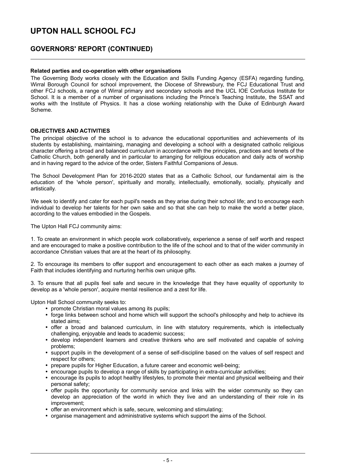### **GOVERNORS' REPORT (CONTINUED)**

### **Related parties and co-operation with other organisations**

The Governing Body works closely with the Education and Skills Funding Agency (ESFA) regarding funding, Wirral Borough Council for school improvement, the Diocese of Shrewsbury, the FCJ Educational Trust and other FCJ schools, a range of Wirral primary and secondary schools and the UCL IOE Confucius Institute for School. It is a member of a number of organisations including the Prince's Teaching Institute, the SSAT and works with the Institute of Physics. It has a close working relationship with the Duke of Edinburgh Award Scheme.

#### **OBJECTIVES AND ACTIVITIES**

The principal objective of the school is to advance the educational opportunities and achievements of its students by establishing, maintaining, managing and developing a school with a designated catholic religious character offering a broad and balanced curriculum in accordance with the principles, practices and tenets of the Catholic Church, both generally and in particular to arranging for religious education and daily acts of worship and in having regard to the advice of the order, Sisters Faithful Companions of Jesus.

The School Development Plan for 2016-2020 states that as a Catholic School, our fundamental aim is the education of the 'whole person', spiritually and morally, intellectually, emotionally, socially, physically and artistically.

We seek to identify and cater for each pupil's needs as they arise during their school life; and to encourage each individual to develop her talents for her own sake and so that she can help to make the world a better place, according to the values embodied in the Gospels.

The Upton Hall FCJ community aims:

1. To create an environment in which people work collaboratively, experience a sense of self worth and respect and are encouraged to make a positive contribution to the life of the school and to that of the wider community in accordance Christian values that are at the heart of its philosophy.

2. To encourage its members to offer support and encouragement to each other as each makes a journey of Faith that includes identifying and nurturing her/his own unique gifts.

3. To ensure that all pupils feel safe and secure in the knowledge that they have equality of opportunity to develop as a 'whole person', acquire mental resilience and a zest for life.

Upton Hall School community seeks to:

- promote Christian moral values among its pupils:
- forge links between school and home which will support the school's philosophy and help to achieve its stated aims;
- offer a broad and balanced curriculum, in line with statutory requirements, which is intellectually challenging, enjoyable and leads to academic success;
- develop independent learners and creative thinkers who are self motivated and capable of solving problems;
- support pupils in the development of a sense of self-discipline based on the values of self respect and respect for others;
- prepare pupils for Higher Education, a future career and economic well-being:
- encourage pupils to develop a range of skills by participating in extra-curricular activities;
- encourage its pupils to adopt healthy lifestyles, to promote their mental and physical wellbeing and their personal safety;
- offer pupils the opportunity for community service and links with the wider community so they can develop an appreciation of the world in which they live and an understanding of their role in its improvement;
- offer an environment which is safe, secure, welcoming and stimulating:
- organise management and administrative systems which support the aims of the School.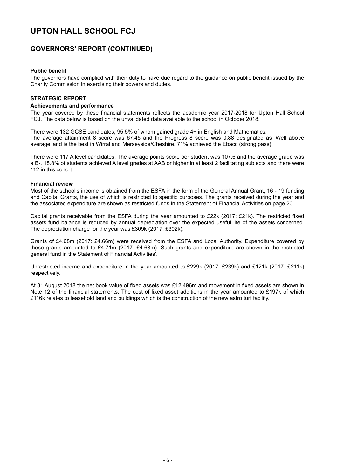### **GOVERNORS' REPORT (CONTINUED)**

### **Public benefit**

The governors have complied with their duty to have due regard to the guidance on public benefit issued by the Charity Commission in exercising their powers and duties.

### **STRATEGIC REPORT**

#### **Achievements and performance**

The year covered by these financial statements reflects the academic year 2017-2018 for Upton Hall School FCJ. The data below is based on the unvalidated data available to the school in October 2018.

There were 132 GCSE candidates; 95.5% of whom gained grade 4+ in English and Mathematics. The average attainment 8 score was 67.45 and the Progress 8 score was 0.88 designated as 'Well above average' and is the best in Wirral and Merseyside/Cheshire. 71% achieved the Ebacc (strong pass).

There were 117 A level candidates. The average points score per student was 107.6 and the average grade was a B-. 18.8% of students achieved A level grades at AAB or higher in at least 2 facilitating subjects and there were 112 in this cohort.

### **Financial review**

Most of the school's income is obtained from the ESFA in the form of the General Annual Grant, 16 - 19 funding and Capital Grants, the use of which is restricted to specific purposes. The grants received during the year and the associated expenditure are shown as restricted funds in the Statement of Financial Activities on page 20.

Capital grants receivable from the ESFA during the year amounted to £22k (2017: £21k). The restricted fixed assets fund balance is reduced by annual depreciation over the expected useful life of the assets concerned. The depreciation charge for the year was £309k (2017: £302k).

Grants of £4.68m (2017: £4.66m) were received from the ESFA and Local Authority. Expenditure covered by these grants amounted to £4.71m (2017: £4.68m). Such grants and expenditure are shown in the restricted general fund in the Statement of Financial Activities'.

Unrestricted income and expenditure in the year amounted to £229k (2017: £239k) and £121k (2017: £211k) respectively.

At 31 August 2018 the net book value of fixed assets was £12.496m and movement in fixed assets are shown in Note 12 of the financial statements. The cost of fixed asset additions in the year amounted to £197k of which £116k relates to leasehold land and buildings which is the construction of the new astro turf facility.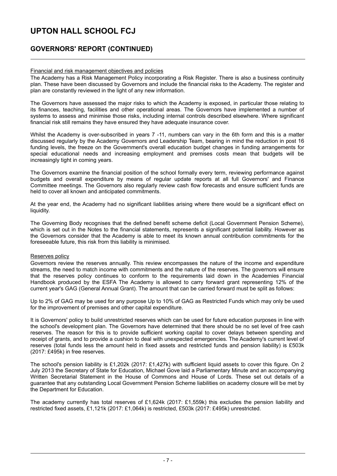### **GOVERNORS' REPORT (CONTINUED)**

### Financial and risk management objectives and policies

The Academy has a Risk Management Policy incorporating a Risk Register. There is also a business continuity plan. These have been discussed by Governors and include the financial risks to the Academy. The register and plan are constantly reviewed in the light of any new information.

The Governors have assessed the major risks to which the Academy is exposed, in particular those relating to its finances, teaching, facilities and other operational areas. The Governors have implemented a number of systems to assess and minimise those risks, including internal controls described elsewhere. Where significant financial risk still remains they have ensured they have adequate insurance cover.

Whilst the Academy is over-subscribed in years 7 -11, numbers can vary in the 6th form and this is a matter discussed regularly by the Academy Governors and Leadership Team, bearing in mind the reduction in post 16 funding levels, the freeze on the Government's overall education budget changes in funding arrangements for special educational needs and increasing employment and premises costs mean that budgets will be increasingly tight in coming years.

The Governors examine the financial position of the school formally every term, reviewing performance against budgets and overall expenditure by means of regular update reports at all full Governors' and Finance Committee meetings. The Governors also regularly review cash flow forecasts and ensure sufficient funds are held to cover all known and anticipated commitments.

At the year end, the Academy had no significant liabilities arising where there would be a significant effect on liquidity.

The Governing Body recognises that the defined benefit scheme deficit (Local Government Pension Scheme), which is set out in the Notes to the financial statements, represents a significant potential liability. However as the Governors consider that the Academy is able to meet its known annual contribution commitments for the foreseeable future, this risk from this liability is minimised.

### Reserves policy

Governors review the reserves annually. This review encompasses the nature of the income and expenditure streams, the need to match income with commitments and the nature of the reserves. The governors will ensure that the reserves policy continues to conform to the requirements laid down in the Academies Financial Handbook produced by the ESFA The Academy is allowed to carry forward grant representing 12% of the current year's GAG (General Annual Grant). The amount that can be carried forward must be split as follows:

Up to 2% of GAG may be used for any purpose Up to 10% of GAG as Restricted Funds which may only be used for the improvement of premises and other capital expenditure.

It is Governors' policy to build unrestricted reserves which can be used for future education purposes in line with the school's development plan. The Governors have determined that there should be no set level of free cash reserves. The reason for this is to provide sufficient working capital to cover delays between spending and receipt of grants, and to provide a cushion to deal with unexpected emergencies. The Academy's current level of reserves (total funds less the amount held in fixed assets and restricted funds and pension liability) is £503k (2017: £495k) in free reserves.

The school's pension liability is £1,202k (2017: £1,427k) with sufficient liquid assets to cover this figure. On 2 July 2013 the Secretary of State for Education, Michael Gove laid a Parliamentary Minute and an accompanying Written Secretarial Statement in the House of Commons and House of Lords. These set out details of a guarantee that any outstanding Local Government Pension Scheme liabilities on academy closure will be met by the Department for Education.

The academy currently has total reserves of £1,624k (2017: £1,559k) this excludes the pension liability and restricted fixed assets, £1,121k (2017: £1,064k) is restricted, £503k (2017: £495k) unrestricted.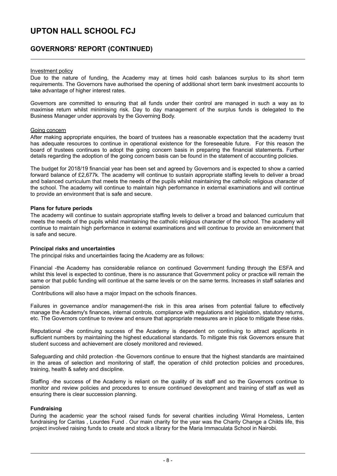### **GOVERNORS' REPORT (CONTINUED)**

#### Investment policy

Due to the nature of funding, the Academy may at times hold cash balances surplus to its short term requirements. The Governors have authorised the opening of additional short term bank investment accounts to take advantage of higher interest rates.

Governors are committed to ensuring that all funds under their control are managed in such a way as to maximise return whilst minimising risk. Day to day management of the surplus funds is delegated to the Business Manager under approvals by the Governing Body.

#### Going concern

After making appropriate enquiries, the board of trustees has a reasonable expectation that the academy trust has adequate resources to continue in operational existence for the foreseeable future. For this reason the board of trustees continues to adopt the going concern basis in preparing the financial statements. Further details regarding the adoption of the going concern basis can be found in the statement of accounting policies.

The budget for 2018/19 financial year has been set and agreed by Governors and is expected to show a carried forward balance of £2,677k. The academy will continue to sustain appropriate staffing levels to deliver a broad and balanced curriculum that meets the needs of the pupils whilst maintaining the catholic religious character of the school. The academy will continue to maintain high performance in external examinations and will continue to provide an environment that is safe and secure.

#### **Plans for future periods**

The academy will continue to sustain appropriate staffing levels to deliver a broad and balanced curriculum that meets the needs of the pupils whilst maintaining the catholic religious character of the school. The academy will continue to maintain high performance in external examinations and will continue to provide an environment that is safe and secure.

#### **Principal risks and uncertainties**

The principal risks and uncertainties facing the Academy are as follows:

Financial -the Academy has considerable reliance on continued Government funding through the ESFA and whilst this level is expected to continue, there is no assurance that Government policy or practice will remain the same or that public funding will continue at the same levels or on the same terms. Increases in staff salaries and pension

Contributions will also have a major Impact on the schools finances.

Failures in governance and/or management-the risk in this area arises from potential failure to effectively manage the Academy's finances, internal controls, compliance with regulations and legislation, statutory returns, etc. The Governors continue to review and ensure that appropriate measures are in place to mitigate these risks.

Reputational -the continuing success of the Academy is dependent on continuing to attract applicants in sufficient numbers by maintaining the highest educational standards. To mitigate this risk Governors ensure that student success and achievement are closely monitored and reviewed.

Safeguarding and child protection -the Governors continue to ensure that the highest standards are maintained in the areas of selection and monitoring of staff, the operation of child protection policies and procedures, training, health & safety and discipline.

Staffing -the success of the Academy is reliant on the quality of its staff and so the Governors continue to monitor and review policies and procedures to ensure continued development and training of staff as well as ensuring there is clear succession planning.

### **Fundraising**

During the academic year the school raised funds for several charities including Wirral Homeless, Lenten fundraising for Caritas , Lourdes Fund . Our main charity for the year was the Charity Change a Childs life, this project involved raising funds to create and stock a library for the Maria Immaculata School in Nairobi.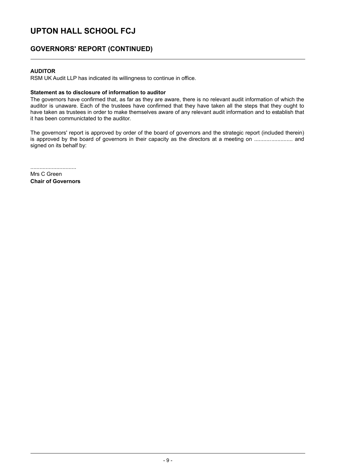### **GOVERNORS' REPORT (CONTINUED)**

### **AUDITOR**

RSM UK Audit LLP has indicated its willingness to continue in office.

### **Statement as to disclosure of information to auditor**

The governors have confirmed that, as far as they are aware, there is no relevant audit information of which the auditor is unaware. Each of the trustees have confirmed that they have taken all the steps that they ought to have taken as trustees in order to make themselves aware of any relevant audit information and to establish that it has been communictated to the auditor.

The governors' report is approved by order of the board of governors and the strategic report (included therein) is approved by the board of governors in their capacity as the directors at a meeting on ......................... and signed on its behalf by:

..............................

Mrs C Green **Chair of Governors**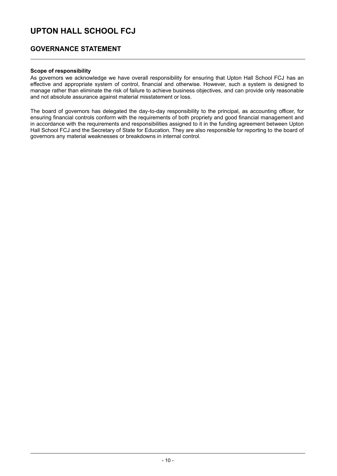### **GOVERNANCE STATEMENT**

### **Scope of responsibility**

As governors we acknowledge we have overall responsibility for ensuring that Upton Hall School FCJ has an effective and appropriate system of control, financial and otherwise. However, such a system is designed to manage rather than eliminate the risk of failure to achieve business objectives, and can provide only reasonable and not absolute assurance against material misstatement or loss.

The board of governors has delegated the day-to-day responsibility to the principal, as accounting officer, for ensuring financial controls conform with the requirements of both propriety and good financial management and in accordance with the requirements and responsibilities assigned to it in the funding agreement between Upton Hall School FCJ and the Secretary of State for Education. They are also responsible for reporting to the board of governors any material weaknesses or breakdowns in internal control.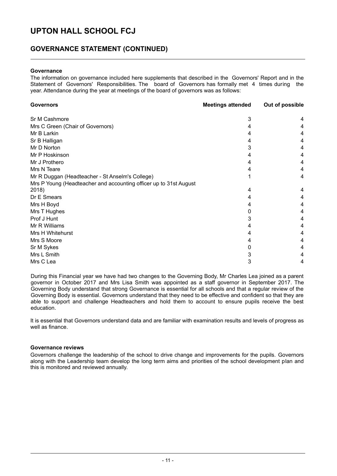### **GOVERNANCE STATEMENT (CONTINUED)**

#### **Governance**

The information on governance included here supplements that described in the Governors' Report and in the Statement of Governors' Responsibilities. The board of Governors has formally met 4 times during the year. Attendance during the year at meetings of the board of governors was as follows:

| <b>Governors</b>                                                  | <b>Meetings attended</b> | Out of possible |
|-------------------------------------------------------------------|--------------------------|-----------------|
| Sr M Cashmore                                                     | 3                        |                 |
| Mrs C Green (Chair of Governors)                                  |                          |                 |
| Mr B Larkin                                                       |                          |                 |
| Sr B Halligan                                                     |                          |                 |
| Mr D Norton                                                       |                          | 4               |
| Mr P Hoskinson                                                    |                          | 4               |
| Mr J Prothero                                                     |                          |                 |
| Mrs N Teare                                                       |                          | 4               |
| Mr R Duggan (Headteacher - St Anselm's College)                   |                          | 4               |
| Mrs P Young (Headteacher and accounting officer up to 31st August |                          |                 |
| 2018)                                                             | 4                        | 4               |
| Dr E Smears                                                       |                          | 4               |
| Mrs H Boyd                                                        |                          | 4               |
| Mrs T Hughes                                                      |                          |                 |
| Prof J Hunt                                                       |                          | 4               |
| Mr R Williams                                                     |                          | 4               |
| Mrs H Whitehurst                                                  |                          |                 |
| Mrs S Moore                                                       |                          | 4               |
| Sr M Sykes                                                        |                          | 4               |
| Mrs L Smith                                                       |                          |                 |
| Mrs C Lea                                                         | 3                        | 4               |

During this Financial year we have had two changes to the Governing Body, Mr Charles Lea joined as a parent governor in October 2017 and Mrs Lisa Smith was appointed as a staff governor in September 2017. The Governing Body understand that strong Governance is essential for all schools and that a regular review of the Governing Body is essential. Governors understand that they need to be effective and confident so that they are able to support and challenge Headteachers and hold them to account to ensure pupils receive the best education.

It is essential that Governors understand data and are familiar with examination results and levels of progress as well as finance.

### **Governance reviews**

Governors challenge the leadership of the school to drive change and improvements for the pupils. Governors along with the Leadership team develop the long term aims and priorities of the school development plan and this is monitored and reviewed annually.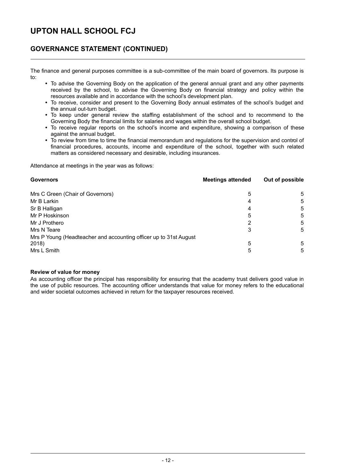### **GOVERNANCE STATEMENT (CONTINUED)**

The finance and general purposes committee is a sub-committee of the main board of governors. Its purpose is to:

- To advise the Governing Body on the application of the general annual grant and any other payments received by the school, to advise the Governing Body on financial strategy and policy within the resources available and in accordance with the school's development plan.
- To receive, consider and present to the Governing Body annual estimates of the school's budget and the annual out-turn budget.
- To keep under general review the staffing establishment of the school and to recommend to the Governing Body the financial limits for salaries and wages within the overall school budget.
- To receive regular reports on the school's income and expenditure, showing a comparison of these against the annual budget.
- To review from time to time the financial memorandum and regulations for the supervision and control of financial procedures, accounts, income and expenditure of the school, together with such related matters as considered necessary and desirable, including insurances.

Attendance at meetings in the year was as follows:

| <b>Governors</b>                                                   | <b>Meetings attended</b> | Out of possible |
|--------------------------------------------------------------------|--------------------------|-----------------|
| Mrs C Green (Chair of Governors)                                   | 5                        | 5               |
| Mr B Larkin                                                        | 4                        | 5               |
| Sr B Halligan                                                      | 4                        | 5               |
| Mr P Hoskinson                                                     | 5                        | 5               |
| Mr J Prothero                                                      | 2                        | 5               |
| Mrs N Teare                                                        | 3                        | 5               |
| Mrs P Young (Headteacher and accounting officer up to 31st August) |                          |                 |
| 2018)                                                              | 5                        | 5               |
| Mrs L Smith                                                        | 5                        | 5               |

#### **Review of value for money**

As accounting officer the principal has responsibility for ensuring that the academy trust delivers good value in the use of public resources. The accounting officer understands that value for money refers to the educational and wider societal outcomes achieved in return for the taxpayer resources received.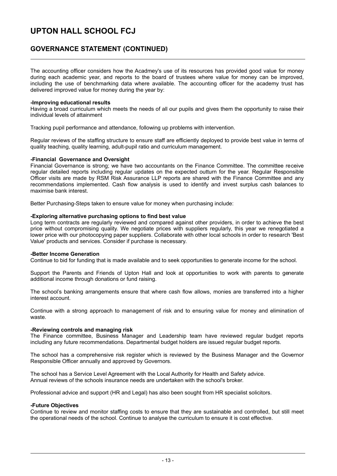### **GOVERNANCE STATEMENT (CONTINUED)**

The accounting officer considers how the Acadmey's use of its resources has provided good value for money during each academic year, and reports to the board of trustees where value for money can be improved, including the use of benchmarking data where available. The accounting officer for the academy trust has delivered improved value for money during the year by:

#### **-Improving educational results**

Having a broad curriculum which meets the needs of all our pupils and gives them the opportunity to raise their individual levels of attainment

Tracking pupil performance and attendance, following up problems with intervention.

Regular reviews of the staffing structure to ensure staff are efficiently deployed to provide best value in terms of quality teaching, quality learning, adult-pupil ratio and curriculum management.

#### **-Financial Governance and Oversight**

Financial Governance is strong; we have two accountants on the Finance Committee. The committee receive regular detailed reports including regular updates on the expected outturn for the year. Regular Responsible Officer visits are made by RSM Risk Assurance LLP reports are shared with the Finance Committee and any recommendations implemented. Cash flow analysis is used to identify and invest surplus cash balances to maximise bank interest.

Better Purchasing-Steps taken to ensure value for money when purchasing include:

#### **-Exploring alternative purchasing options to find best value**

Long term contracts are regularly reviewed and compared against other providers, in order to achieve the best price without compromising quality. We negotiate prices with suppliers regularly, this year we renegotiated a lower price with our photocopying paper suppliers. Collaborate with other local schools in order to research 'Best Value' products and services. Consider if purchase is necessary.

#### **-Better Income Generation**

Continue to bid for funding that is made available and to seek opportunities to generate income for the school.

Support the Parents and Friends of Upton Hall and look at opportunities to work with parents to generate additional income through donations or fund raising.

The school's banking arrangements ensure that where cash flow allows, monies are transferred into a higher interest account.

Continue with a strong approach to management of risk and to ensuring value for money and elimination of waste.

#### **-Reviewing controls and managing risk**

The Finance committee, Business Manager and Leadership team have reviewed regular budget reports including any future recommendations. Departmental budget holders are issued regular budget reports.

The school has a comprehensive risk register which is reviewed by the Business Manager and the Governor Responsible Officer annually and approved by Governors.

The school has a Service Level Agreement with the Local Authority for Health and Safety advice. Annual reviews of the schools insurance needs are undertaken with the school's broker.

Professional advice and support (HR and Legal) has also been sought from HR specialist solicitors.

#### **-Future Objectives**

Continue to review and monitor staffing costs to ensure that they are sustainable and controlled, but still meet the operational needs of the school. Continue to analyse the curriculum to ensure it is cost effective.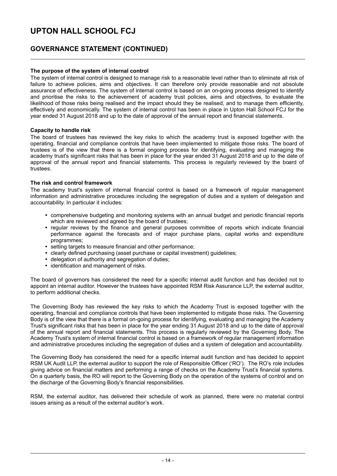### **GOVERNANCE STATEMENT (CONTINUED)**

### **The purpose of the system of internal control**

The system of internal control is designed to manage risk to a reasonable level rather than to eliminate all risk of failure to achieve policies, aims and objectives. It can therefore only provide reasonable and not absolute assurance of effectiveness. The system of internal control is based on an on-going process designed to identify and prioritise the risks to the achievement of academy trust policies, aims and objectives, to evaluate the likelihood of those risks being realised and the impact should they be realised, and to manage them efficiently, effectively and economically. The system of internal control has been in place in Upton Hall School FCJ for the year ended 31 August 2018 and up to the date of approval of the annual report and financial statements.

### **Capacity to handle risk**

The board of trustees has reviewed the key risks to which the academy trust is exposed together with the operating, financial and compliance controls that have been implemented to mitigate those risks. The board of trustees is of the view that there is a formal ongoing process for identifying, evaluating and managing the academy trust's significant risks that has been in place for the year ended 31 August 2018 and up to the date of approval of the annual report and financial statements. This process is regularly reviewed by the board of trustees.

### **The risk and control framework**

The academy trust's system of internal financial control is based on a framework of regular management information and administrative procedures including the segregation of duties and a system of delegation and accountability. In particular it includes:

- comprehensive budgeting and monitoring systems with an annual budget and periodic financial reports which are reviewed and agreed by the board of trustees;
- regular reviews by the finance and general purposes committee of reports which indicate financial performance against the forecasts and of major purchase plans, capital works and expenditure programmes;
- setting targets to measure financial and other performance;
- clearly defined purchasing (asset purchase or capital investment) guidelines;
- delegation of authority and segregation of duties;
- identification and management of risks.

The board of governors has considered the need for a specific internal audit function and has decided not to appoint an internal auditor. However the trustees have appointed RSM Risk Assurance LLP, the external auditor, to perform additional checks.

The Governing Body has reviewed the key risks to which the Academy Trust is exposed together with the operating, financial and compliance controls that have been implemented to mitigate those risks. The Governing Body is of the view that there is a formal on-going process for identifying, evaluating and managing the Academy Trust's significant risks that has been in place for the year ending 31 August 2018 and up to the date of approval of the annual report and financial statements. This process is regularly reviewed by the Governing Body. The Academy Trust's system of internal financial control is based on a framework of regular management information and administrative procedures including the segregation of duties and a system of delegation and accountability.

The Governing Body has considered the need for a specific internal audit function and has decided to appoint RSM UK Audit LLP, the external auditor to support the role of Responsible Officer ('RO'). The RO's role includes giving advice on financial matters and performing a range of checks on the Academy Trust's financial systems. On a quarterly basis, the RO will report to the Governing Body on the operation of the systems of control and on the discharge of the Governing Body's financial responsibilities.

RSM, the external auditor, has delivered their schedule of work as planned, there were no material control issues arising as a result of the external auditor's work.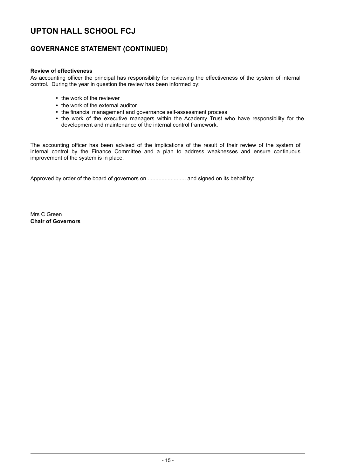### **GOVERNANCE STATEMENT (CONTINUED)**

### **Review of effectiveness**

As accounting officer the principal has responsibility for reviewing the effectiveness of the system of internal control. During the year in question the review has been informed by:

- the work of the reviewer
- the work of the external auditor
- the financial management and governance self-assessment process
- the work of the executive managers within the Academy Trust who have responsibility for the development and maintenance of the internal control framework.

The accounting officer has been advised of the implications of the result of their review of the system of internal control by the Finance Committee and a plan to address weaknesses and ensure continuous improvement of the system is in place.

Approved by order of the board of governors on ......................... and signed on its behalf by:

Mrs C Green **Chair of Governors**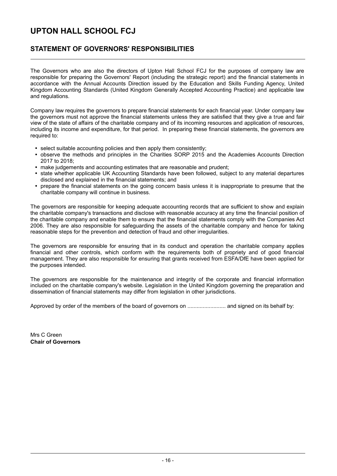### **STATEMENT OF GOVERNORS' RESPONSIBILITIES**

The Governors who are also the directors of Upton Hall School FCJ for the purposes of company law are responsible for preparing the Governors' Report (including the strategic report) and the financial statements in accordance with the Annual Accounts Direction issued by the Education and Skills Funding Agency, United Kingdom Accounting Standards (United Kingdom Generally Accepted Accounting Practice) and applicable law and regulations.

Company law requires the governors to prepare financial statements for each financial year. Under company law the governors must not approve the financial statements unless they are satisfied that they give a true and fair view of the state of affairs of the charitable company and of its incoming resources and application of resources, including its income and expenditure, for that period. In preparing these financial statements, the governors are required to:

- select suitable accounting policies and then apply them consistently;
- $\bullet$ observe the methods and principles in the Charities SORP 2015 and the Academies Accounts Direction 2017 to 2018;
- make judgements and accounting estimates that are reasonable and prudent;
- state whether applicable UK Accounting Standards have been followed, subject to any material departures disclosed and explained in the financial statements; and
- prepare the financial statements on the going concern basis unless it is inappropriate to presume that the charitable company will continue in business.

The governors are responsible for keeping adequate accounting records that are sufficient to show and explain the charitable company's transactions and disclose with reasonable accuracy at any time the financial position of the charitable company and enable them to ensure that the financial statements comply with the Companies Act 2006. They are also responsible for safeguarding the assets of the charitable company and hence for taking reasonable steps for the prevention and detection of fraud and other irregularities.

The governors are responsible for ensuring that in its conduct and operation the charitable company applies financial and other controls, which conform with the requirements both of propriety and of good financial management. They are also responsible for ensuring that grants received from ESFA/DfE have been applied for the purposes intended.

The governors are responsible for the maintenance and integrity of the corporate and financial information included on the charitable company's website. Legislation in the United Kingdom governing the preparation and dissemination of financial statements may differ from legislation in other jurisdictions.

Approved by order of the members of the board of governors on ......................... and signed on its behalf by:

Mrs C Green **Chair of Governors**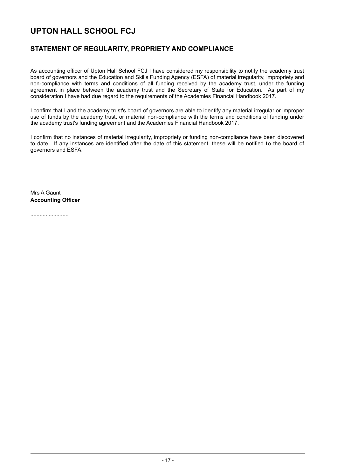### **STATEMENT OF REGULARITY, PROPRIETY AND COMPLIANCE**

As accounting officer of Upton Hall School FCJ I have considered my responsibility to notify the academy trust board of governors and the Education and Skills Funding Agency (ESFA) of material irregularity, impropriety and non-compliance with terms and conditions of all funding received by the academy trust, under the funding agreement in place between the academy trust and the Secretary of State for Education. As part of my consideration I have had due regard to the requirements of the Academies Financial Handbook 2017.

I confirm that I and the academy trust's board of governors are able to identify any material irregular or improper use of funds by the academy trust, or material non-compliance with the terms and conditions of funding under the academy trust's funding agreement and the Academies Financial Handbook 2017.

I confirm that no instances of material irregularity, impropriety or funding non-compliance have been discovered to date. If any instances are identified after the date of this statement, these will be notified to the board of governors and ESFA.

Mrs A Gaunt **Accounting Officer**

.........................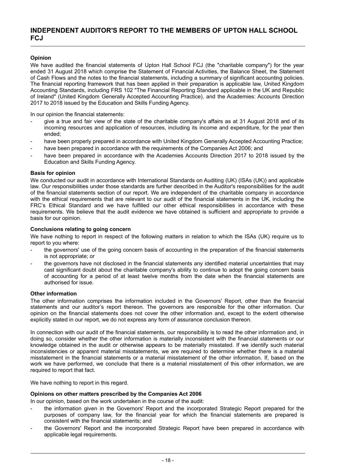### **INDEPENDENT AUDITOR'S REPORT TO THE MEMBERS OF UPTON HALL SCHOOL FCJ**

### **Opinion**

We have audited the financial statements of Upton Hall School FCJ (the "charitable company") for the year ended 31 August 2018 which comprise the Statement of Financial Activities, the Balance Sheet, the Statement of Cash Flows and the notes to the financial statements, including a summary of significant accounting policies. The financial reporting framework that has been applied in their preparation is applicable law, United Kingdom Accounting Standards, including FRS 102 "The Financial Reporting Standard applicable in the UK and Republic of Ireland" (United Kingdom Generally Accepted Accounting Practice), and the Academies: Accounts Direction 2017 to 2018 issued by the Education and Skills Funding Agency.

In our opinion the financial statements:

- give a true and fair view of the state of the charitable company's affairs as at 31 August 2018 and of its incoming resources and application of resources, including its income and expenditure, for the year then ended;
- have been properly prepared in accordance with United Kingdom Generally Accepted Accounting Practice;
- have been prepared in accordance with the requirements of the Companies Act 2006; and
- have been prepared in accordance with the Academies Accounts Direction 2017 to 2018 issued by the Education and Skills Funding Agency.

### **Basis for opinion**

We conducted our audit in accordance with International Standards on Auditing (UK) (ISAs (UK)) and applicable law. Our responsibilities under those standards are further described in the Auditor's responsibilities for the audit of the financial statements section of our report. We are independent of the charitable company in accordance with the ethical requirements that are relevant to our audit of the financial statements in the UK, including the FRC's Ethical Standard and we have fulfilled our other ethical responsibilities in accordance with these requirements. We believe that the audit evidence we have obtained is sufficient and appropriate to provide a basis for our opinion.

#### **Conclusions relating to going concern**

We have nothing to report in respect of the following matters in relation to which the ISAs (UK) require us to report to you where:

- the governors' use of the going concern basis of accounting in the preparation of the financial statements is not appropriate; or
- the governors have not disclosed in the financial statements any identified material uncertainties that may cast significant doubt about the charitable company's ability to continue to adopt the going concern basis of accounting for a period of at least twelve months from the date when the financial statements are authorised for issue.

#### **Other information**

The other information comprises the information included in the Governors' Report, other than the financial statements and our auditor's report thereon. The governors are responsible for the other information. Our opinion on the financial statements does not cover the other information and, except to the extent otherwise explicitly stated in our report, we do not express any form of assurance conclusion thereon.

In connection with our audit of the financial statements, our responsibility is to read the other information and, in doing so, consider whether the other information is materially inconsistent with the financial statements or our knowledge obtained in the audit or otherwise appears to be materially misstated. If we identify such material inconsistencies or apparent material misstatements, we are required to determine whether there is a material misstatement in the financial statements or a material misstatement of the other information. If, based on the work we have performed, we conclude that there is a material misstatement of this other information, we are required to report that fact.

We have nothing to report in this regard.

#### **Opinions on other matters prescribed by the Companies Act 2006**

In our opinion, based on the work undertaken in the course of the audit:

- the information given in the Governors' Report and the incorporated Strategic Report prepared for the purposes of company law, for the financial year for which the financial statements are prepared is consistent with the financial statements; and
- the Governors' Report and the incorporated Strategic Report have been prepared in accordance with applicable legal requirements.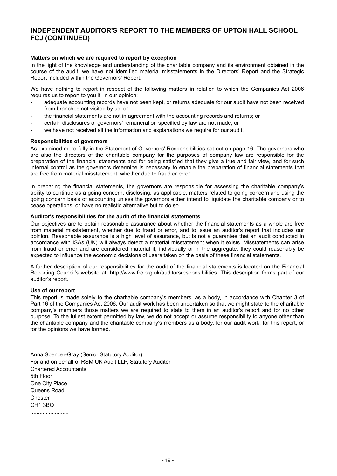### **Matters on which we are required to report by exception**

In the light of the knowledge and understanding of the charitable company and its environment obtained in the course of the audit, we have not identified material misstatements in the Directors' Report and the Strategic Report included within the Governors' Report.

We have nothing to report in respect of the following matters in relation to which the Companies Act 2006 requires us to report to you if, in our opinion:

- adequate accounting records have not been kept, or returns adequate for our audit have not been received from branches not visited by us; or
- the financial statements are not in agreement with the accounting records and returns; or
- certain disclosures of governors' remuneration specified by law are not made; or
- we have not received all the information and explanations we require for our audit.

#### **Responsibilities of governors**

As explained more fully in the Statement of Governors' Responsibilities set out on page 16, The governors who are also the directors of the charitable company for the purposes of company law are responsible for the preparation of the financial statements and for being satisfied that they give a true and fair view, and for such internal control as the governors determine is necessary to enable the preparation of financial statements that are free from material misstatement, whether due to fraud or error.

In preparing the financial statements, the governors are responsible for assessing the charitable company's ability to continue as a going concern, disclosing, as applicable, matters related to going concern and using the going concern basis of accounting unless the governors either intend to liquidate the charitable company or to cease operations, or have no realistic alternative but to do so.

#### **Auditor's responsibilities for the audit of the financial statements**

Our objectives are to obtain reasonable assurance about whether the financial statements as a whole are free from material misstatement, whether due to fraud or error, and to issue an auditor's report that includes our opinion. Reasonable assurance is a high level of assurance, but is not a guarantee that an audit conducted in accordance with ISAs (UK) will always detect a material misstatement when it exists. Misstatements can arise from fraud or error and are considered material if, individually or in the aggregate, they could reasonably be expected to influence the economic decisions of users taken on the basis of these financial statements.

A further description of our responsibilities for the audit of the financial statements is located on the Financial Reporting Council's website at: http://www.frc.org.uk/auditorsresponsibilities. This description forms part of our auditor's report.

### **Use of our report**

This report is made solely to the charitable company's members, as a body, in accordance with Chapter 3 of Part 16 of the Companies Act 2006. Our audit work has been undertaken so that we might state to the charitable company's members those matters we are required to state to them in an auditor's report and for no other purpose. To the fullest extent permitted by law, we do not accept or assume responsibility to anyone other than the charitable company and the charitable company's members as a body, for our audit work, for this report, or for the opinions we have formed.

Anna Spencer-Gray (Senior Statutory Auditor) For and on behalf of RSM UK Audit LLP, Statutory Auditor Chartered Accountants 5th Floor One City Place Queens Road **Chester** CH1 3BQ .........................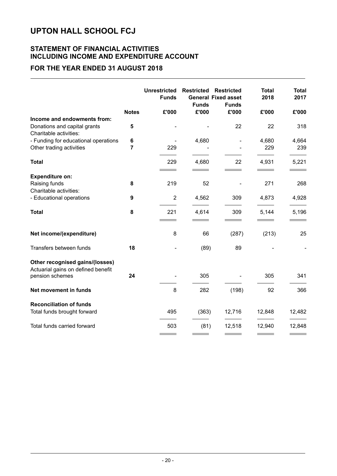### **STATEMENT OF FINANCIAL ACTIVITIES INCLUDING INCOME AND EXPENDITURE ACCOUNT**

### **FOR THE YEAR ENDED 31 AUGUST 2018**

|                                                                                          |                     | <b>Unrestricted</b><br><b>Funds</b> | <b>Restricted</b><br><b>Funds</b> | <b>Restricted</b><br><b>General Fixed asset</b><br><b>Funds</b> | <b>Total</b><br>2018 | <b>Total</b><br>2017 |
|------------------------------------------------------------------------------------------|---------------------|-------------------------------------|-----------------------------------|-----------------------------------------------------------------|----------------------|----------------------|
|                                                                                          | <b>Notes</b>        | £'000                               | £'000                             | £'000                                                           | £'000                | £'000                |
| Income and endowments from:<br>Donations and capital grants<br>Charitable activities:    | 5                   |                                     |                                   | 22                                                              | 22                   | 318                  |
| - Funding for educational operations<br>Other trading activities                         | 6<br>$\overline{7}$ | 229                                 | 4,680                             |                                                                 | 4,680<br>229         | 4,664<br>239         |
| <b>Total</b>                                                                             |                     | 229                                 | 4,680                             | 22                                                              | 4,931                | 5,221                |
| <b>Expenditure on:</b><br>Raising funds<br>Charitable activities:                        | 8                   | 219                                 | 52                                |                                                                 | 271                  | 268                  |
| - Educational operations                                                                 | 9                   | $\overline{2}$                      | 4,562                             | 309                                                             | 4,873                | 4,928                |
| <b>Total</b>                                                                             | 8                   | 221                                 | 4,614                             | 309                                                             | 5,144                | 5,196                |
| Net income/(expenditure)                                                                 |                     | 8                                   | 66                                | (287)                                                           | (213)                | 25                   |
| Transfers between funds                                                                  | 18                  |                                     | (89)                              | 89                                                              |                      |                      |
| Other recognised gains/(losses)<br>Actuarial gains on defined benefit<br>pension schemes | 24                  |                                     | 305                               |                                                                 | 305                  | 341                  |
| Net movement in funds                                                                    |                     | 8                                   | 282                               | (198)                                                           | 92                   | 366                  |
| <b>Reconciliation of funds</b>                                                           |                     |                                     |                                   |                                                                 |                      |                      |
| Total funds brought forward                                                              |                     | 495                                 | (363)                             | 12,716                                                          | 12,848               | 12,482               |
| Total funds carried forward                                                              |                     | 503                                 | (81)                              | 12,518                                                          | 12,940               | 12,848               |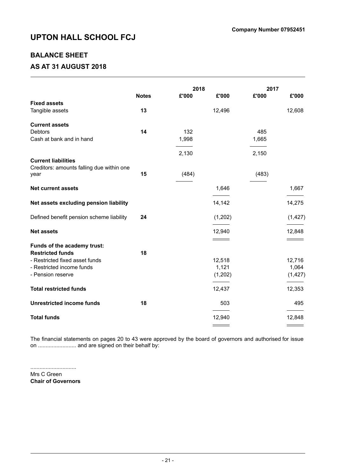### **BALANCE SHEET**

### **AS AT 31 AUGUST 2018**

|                                           |              | 2018  |         | 2017  |          |
|-------------------------------------------|--------------|-------|---------|-------|----------|
|                                           | <b>Notes</b> | £'000 | £'000   | £'000 | £'000    |
| <b>Fixed assets</b>                       |              |       |         |       |          |
| Tangible assets                           | 13           |       | 12,496  |       | 12,608   |
| <b>Current assets</b>                     |              |       |         |       |          |
| <b>Debtors</b>                            | 14           | 132   |         | 485   |          |
| Cash at bank and in hand                  |              | 1,998 |         | 1,665 |          |
|                                           |              |       |         |       |          |
|                                           |              | 2,130 |         | 2,150 |          |
| <b>Current liabilities</b>                |              |       |         |       |          |
| Creditors: amounts falling due within one |              |       |         |       |          |
| year                                      | 15           | (484) |         | (483) |          |
| <b>Net current assets</b>                 |              |       | 1,646   |       | 1,667    |
|                                           |              |       |         |       |          |
| Net assets excluding pension liability    |              |       | 14,142  |       | 14,275   |
| Defined benefit pension scheme liability  | 24           |       | (1,202) |       | (1, 427) |
|                                           |              |       |         |       |          |
| <b>Net assets</b>                         |              |       | 12,940  |       | 12,848   |
|                                           |              |       |         |       |          |
| Funds of the academy trust:               |              |       |         |       |          |
| <b>Restricted funds</b>                   | 18           |       |         |       |          |
| - Restricted fixed asset funds            |              |       | 12,518  |       | 12,716   |
| - Restricted income funds                 |              |       | 1,121   |       | 1,064    |
| - Pension reserve                         |              |       | (1,202) |       | (1, 427) |
| <b>Total restricted funds</b>             |              |       | 12,437  |       | 12,353   |
| <b>Unrestricted income funds</b>          | 18           |       | 503     |       | 495      |
| <b>Total funds</b>                        |              |       | 12,940  |       | 12,848   |
|                                           |              |       |         |       |          |

The financial statements on pages 20 to 43 were approved by the board of governors and authorised for issue on ......................... and are signed on their behalf by:

.............................. Mrs C Green **Chair of Governors**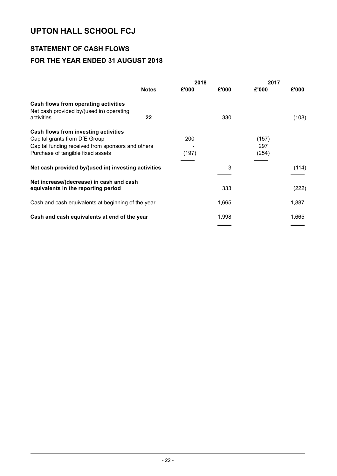### **STATEMENT OF CASH FLOWS FOR THE YEAR ENDED 31 AUGUST 2018**

|                                                                                  |              | 2018  |       | 2017  |       |
|----------------------------------------------------------------------------------|--------------|-------|-------|-------|-------|
|                                                                                  | <b>Notes</b> | £'000 | £'000 | £'000 | £'000 |
| Cash flows from operating activities<br>Net cash provided by/(used in) operating |              |       |       |       |       |
| activities                                                                       | 22           |       | 330   |       | (108) |
| Cash flows from investing activities                                             |              |       |       |       |       |
| Capital grants from DfE Group                                                    |              | 200   |       | (157) |       |
| Capital funding received from sponsors and others                                |              |       |       | 297   |       |
| Purchase of tangible fixed assets                                                |              | (197) |       | (254) |       |
| Net cash provided by/(used in) investing activities                              |              |       | 3     |       | (114) |
| Net increase/(decrease) in cash and cash<br>equivalents in the reporting period  |              |       | 333   |       | (222) |
| Cash and cash equivalents at beginning of the year                               |              |       | 1,665 |       | 1,887 |
| Cash and cash equivalents at end of the year                                     |              |       | 1,998 |       | 1,665 |
|                                                                                  |              |       |       |       |       |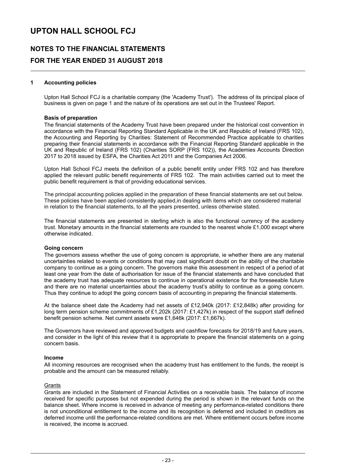### **NOTES TO THE FINANCIAL STATEMENTS FOR THE YEAR ENDED 31 AUGUST 2018**

### **1 Accounting policies**

Upton Hall School FCJ is a charitable company (the 'Academy Trust'). The address of its principal place of business is given on page 1 and the nature of its operations are set out in the Trustees' Report.

#### **Basis of preparation**

The financial statements of the Academy Trust have been prepared under the historical cost convention in accordance with the Financial Reporting Standard Applicable in the UK and Republic of Ireland (FRS 102), the Accounting and Reporting by Charities: Statement of Recommended Practice applicable to charities preparing their financial statements in accordance with the Financial Reporting Standard applicable in the UK and Republic of Ireland (FRS 102) (Charities SORP (FRS 102)), the Academies Accounts Direction 2017 to 2018 issued by ESFA, the Charities Act 2011 and the Companies Act 2006.

Upton Hall School FCJ meets the definition of a public benefit entity under FRS 102 and has therefore applied the relevant public benefit requirements of FRS 102. The main activities carried out to meet the public benefit requirement is that of providing educational services.

The principal accounting policies applied in the preparation of these financial statements are set out below. These policies have been applied consistently applied,in dealing with items which are considered material in relation to the financial statements, to all the years presented, unless otherwise stated.

The financial statements are presented in sterling which is also the functional currency of the academy trust. Monetary amounts in the financial statements are rounded to the nearest whole £1,000 except where otherwise indicated.

#### **Going concern**

The governors assess whether the use of going concern is appropriate, ie whether there are any material uncertainties related to events or conditions that may cast significant doubt on the ability of the charitable company to continue as a going concern. The governors make this assessment in respect of a period of at least one year from the date of authorisation for issue of the financial statements and have concluded that the academy trust has adequate resources to continue in operational existence for the foreseeable future and there are no material uncertainties about the academy trust's ability to continue as a going concern. Thus they continue to adopt the going concern basis of accounting in preparing the financial statements.

At the balance sheet date the Academy had net assets of £12,940k (2017: £12,848k) after providing for long term pension scheme commitments of £1,202k (2017: £1,427k) in respect of the support staff defined benefit pension scheme. Net current assets were £1,646k (2017: £1,667k).

The Governors have reviewed and approved budgets and cashflow forecasts for 2018/19 and future years, and consider in the light of this review that it is appropriate to prepare the financial statements on a going concern basis.

### **Income**

All incoming resources are recognised when the academy trust has entitlement to the funds, the receipt is probable and the amount can be measured reliably.

#### **Grants**

Grants are included in the Statement of Financial Activities on a receivable basis. The balance of income received for specific purposes but not expended during the period is shown in the relevant funds on the balance sheet. Where income is received in advance of meeting any performance-related conditions there is not unconditional entitlement to the income and its recognition is deferred and included in creditors as deferred income until the performance-related conditions are met. Where entitlement occurs before income is received, the income is accrued.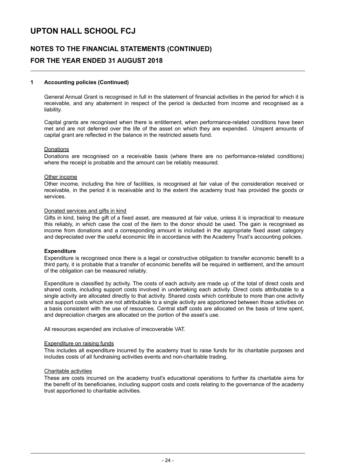## **NOTES TO THE FINANCIAL STATEMENTS (CONTINUED) FOR THE YEAR ENDED 31 AUGUST 2018**

### **1 Accounting policies (Continued)**

General Annual Grant is recognised in full in the statement of financial activities in the period for which it is receivable, and any abatement in respect of the period is deducted from income and recognised as a liability.

Capital grants are recognised when there is entitlement, when performance-related conditions have been met and are not deferred over the life of the asset on which they are expended. Unspent amounts of capital grant are reflected in the balance in the restricted assets fund.

#### Donations

Donations are recognised on a receivable basis (where there are no performance-related conditions) where the receipt is probable and the amount can be reliably measured.

#### Other income

Other income, including the hire of facilities, is recognised at fair value of the consideration received or receivable, in the period it is receivable and to the extent the academy trust has provided the goods or services.

#### Donated services and gifts in kind

Gifts in kind, being the gift of a fixed asset, are measured at fair value, unless it is impractical to measure this reliably, in which case the cost of the item to the donor should be used. The gain is recognised as income from donations and a corresponding amount is included in the appropriate fixed asset category and depreciated over the useful economic life in accordance with the Academy Trust's accounting policies.

#### **Expenditure**

Expenditure is recognised once there is a legal or constructive obligation to transfer economic benefit to a third party, it is probable that a transfer of economic benefits will be required in settlement, and the amount of the obligation can be measured reliably.

Expenditure is classified by activity. The costs of each activity are made up of the total of direct costs and shared costs, including support costs involved in undertaking each activity. Direct costs attributable to a single activity are allocated directly to that activity. Shared costs which contribute to more than one activity and support costs which are not attributable to a single activity are apportioned between those activities on a basis consistent with the use of resources. Central staff costs are allocated on the basis of time spent, and depreciation charges are allocated on the portion of the asset's use.

All resources expended are inclusive of irrecoverable VAT.

#### Expenditure on raising funds

This includes all expenditure incurred by the academy trust to raise funds for its charitable purposes and includes costs of all fundraising activities events and non-charitable trading.

#### Charitable activities

These are costs incurred on the academy trust's educational operations to further its charitable aims for the benefit of its beneficiaries, including support costs and costs relating to the governance of the academy trust apportioned to charitable activities.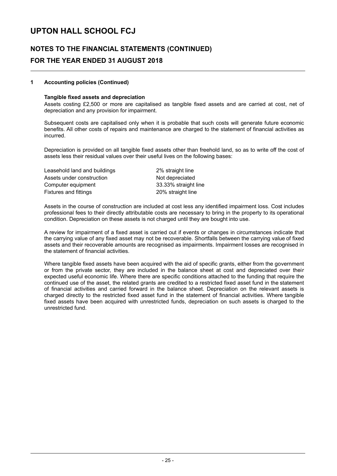### **NOTES TO THE FINANCIAL STATEMENTS (CONTINUED) FOR THE YEAR ENDED 31 AUGUST 2018**

### **1 Accounting policies (Continued)**

#### **Tangible fixed assets and depreciation**

Assets costing £2,500 or more are capitalised as tangible fixed assets and are carried at cost, net of depreciation and any provision for impairment.

Subsequent costs are capitalised only when it is probable that such costs will generate future economic benefits. All other costs of repairs and maintenance are charged to the statement of financial activities as incurred.

Depreciation is provided on all tangible fixed assets other than freehold land, so as to write off the cost of assets less their residual values over their useful lives on the following bases:

Leasehold land and buildings 2% straight line Assets under construction Not depreciated Computer equipment 33.33% straight line Fixtures and fittings **20%** straight line

Assets in the course of construction are included at cost less any identified impairment loss. Cost includes professional fees to their directly attributable costs are necessary to bring in the property to its operational condition. Depreciation on these assets is not charged until they are bought into use.

A review for impairment of a fixed asset is carried out if events or changes in circumstances indicate that the carrying value of any fixed asset may not be recoverable. Shortfalls between the carrying value of fixed assets and their recoverable amounts are recognised as impairments. Impairment losses are recognised in the statement of financial activities.

Where tangible fixed assets have been acquired with the aid of specific grants, either from the government or from the private sector, they are included in the balance sheet at cost and depreciated over their expected useful economic life. Where there are specific conditions attached to the funding that require the continued use of the asset, the related grants are credited to a restricted fixed asset fund in the statement of financial activities and carried forward in the balance sheet. Depreciation on the relevant assets is charged directly to the restricted fixed asset fund in the statement of financial activities. Where tangible fixed assets have been acquired with unrestricted funds, depreciation on such assets is charged to the unrestricted fund.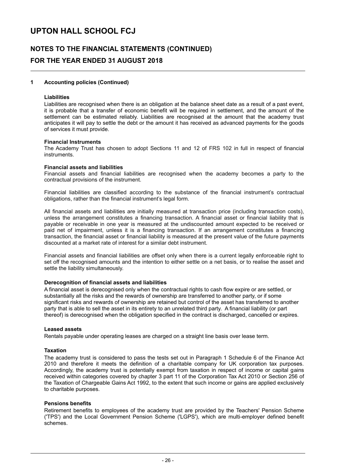### **NOTES TO THE FINANCIAL STATEMENTS (CONTINUED) FOR THE YEAR ENDED 31 AUGUST 2018**

### **1 Accounting policies (Continued)**

#### **Liabilities**

Liabilities are recognised when there is an obligation at the balance sheet date as a result of a past event, it is probable that a transfer of economic benefit will be required in settlement, and the amount of the settlement can be estimated reliably. Liabilities are recognised at the amount that the academy trust anticipates it will pay to settle the debt or the amount it has received as advanced payments for the goods of services it must provide.

#### **Financial Instruments**

The Academy Trust has chosen to adopt Sections 11 and 12 of FRS 102 in full in respect of financial instruments.

#### **Financial assets and liabilities**

Financial assets and financial liabilities are recognised when the academy becomes a party to the contractual provisions of the instrument.

Financial liabilities are classified according to the substance of the financial instrument's contractual obligations, rather than the financial instrument's legal form.

All financial assets and liabilities are initially measured at transaction price (including transaction costs), unless the arrangement constitutes a financing transaction. A financial asset or financial liability that is payable or receivable in one year is measured at the undiscounted amount expected to be received or paid net of impairment, unless it is a financing transaction. If an arrangement constitutes a financing transaction, the financial asset or financial liability is measured at the present value of the future payments discounted at a market rate of interest for a similar debt instrument.

Financial assets and financial liabilities are offset only when there is a current legally enforceable right to set off the recognised amounts and the intention to either settle on a net basis, or to realise the asset and settle the liability simultaneously.

#### **Derecognition of financial assets and liabilities**

A financial asset is derecognised only when the contractual rights to cash flow expire or are settled, or substantially all the risks and the rewards of ownership are transferred to another party, or if some significant risks and rewards of ownership are retained but control of the asset has transferred to another party that is able to sell the asset in its entirety to an unrelated third party. A financial liability (or part thereof) is derecognised when the obligation specified in the contract is discharged, cancelled or expires.

#### **Leased assets**

Rentals payable under operating leases are charged on a straight line basis over lease term.

#### **Taxation**

The academy trust is considered to pass the tests set out in Paragraph 1 Schedule 6 of the Finance Act 2010 and therefore it meets the definition of a charitable company for UK corporation tax purposes. Accordingly, the academy trust is potentially exempt from taxation in respect of income or capital gains received within categories covered by chapter 3 part 11 of the Corporation Tax Act 2010 or Section 256 of the Taxation of Chargeable Gains Act 1992, to the extent that such income or gains are applied exclusively to charitable purposes.

#### **Pensions benefits**

Retirement benefits to employees of the academy trust are provided by the Teachers' Pension Scheme ('TPS') and the Local Government Pension Scheme ('LGPS'), which are multi-employer defined benefit schemes.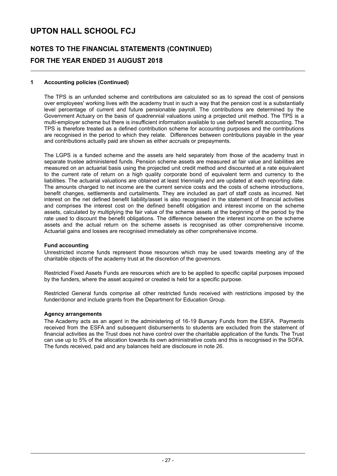# **NOTES TO THE FINANCIAL STATEMENTS (CONTINUED) FOR THE YEAR ENDED 31 AUGUST 2018**

### **1 Accounting policies (Continued)**

The TPS is an unfunded scheme and contributions are calculated so as to spread the cost of pensions over employees' working lives with the academy trust in such a way that the pension cost is a substantially level percentage of current and future pensionable payroll. The contributions are determined by the Government Actuary on the basis of quadrennial valuations using a projected unit method. The TPS is a multi-employer scheme but there is insufficient information available to use defined benefit accounting. The TPS is therefore treated as a defined contribution scheme for accounting purposes and the contributions are recognised in the period to which they relate. Differences between contributions payable in the year and contributions actually paid are shown as either accruals or prepayments.

The LGPS is a funded scheme and the assets are held separately from those of the academy trust in separate trustee administered funds. Pension scheme assets are measured at fair value and liabilities are measured on an actuarial basis using the projected unit credit method and discounted at a rate equivalent to the current rate of return on a high quality corporate bond of equivalent term and currency to the liabilities. The actuarial valuations are obtained at least triennially and are updated at each reporting date. The amounts charged to net income are the current service costs and the costs of scheme introductions, benefit changes, settlements and curtailments. They are included as part of staff costs as incurred. Net interest on the net defined benefit liability/asset is also recognised in the statement of financial activities and comprises the interest cost on the defined benefit obligation and interest income on the scheme assets, calculated by multiplying the fair value of the scheme assets at the beginning of the period by the rate used to discount the benefit obligations. The difference between the interest income on the scheme assets and the actual return on the scheme assets is recognised as other comprehensive income. Actuarial gains and losses are recognised immediately as other comprehensive income.

#### **Fund accounting**

Unrestricted income funds represent those resources which may be used towards meeting any of the charitable objects of the academy trust at the discretion of the governors.

Restricted Fixed Assets Funds are resources which are to be applied to specific capital purposes imposed by the funders, where the asset acquired or created is held for a specific purpose.

Restricted General funds comprise all other restricted funds received with restrictions imposed by the funder/donor and include grants from the Department for Education Group.

#### **Agency arrangements**

The Academy acts as an agent in the administering of 16-19 Bursary Funds from the ESFA. Payments received from the ESFA and subsequent disbursements to students are excluded from the statement of financial activities as the Trust does not have control over the charitable application of the funds. The Trust can use up to 5% of the allocation towards its own administrative costs and this is recognised in the SOFA. The funds received, paid and any balances held are disclosure in note 26.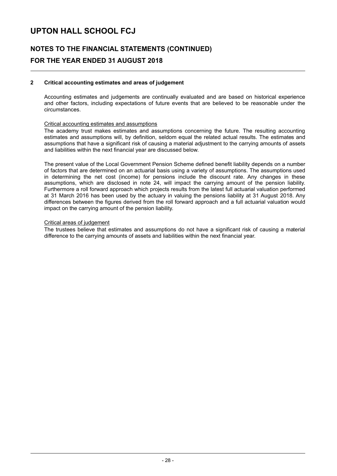# **NOTES TO THE FINANCIAL STATEMENTS (CONTINUED) FOR THE YEAR ENDED 31 AUGUST 2018**

### **2 Critical accounting estimates and areas of judgement**

Accounting estimates and judgements are continually evaluated and are based on historical experience and other factors, including expectations of future events that are believed to be reasonable under the circumstances.

#### Critical accounting estimates and assumptions

The academy trust makes estimates and assumptions concerning the future. The resulting accounting estimates and assumptions will, by definition, seldom equal the related actual results. The estimates and assumptions that have a significant risk of causing a material adjustment to the carrying amounts of assets and liabilities within the next financial year are discussed below.

The present value of the Local Government Pension Scheme defined benefit liability depends on a number of factors that are determined on an actuarial basis using a variety of assumptions. The assumptions used in determining the net cost (income) for pensions include the discount rate. Any changes in these assumptions, which are disclosed in note 24, will impact the carrying amount of the pension liability. Furthermore a roll forward approach which projects results from the latest full actuarial valuation performed at 31 March 2016 has been used by the actuary in valuing the pensions liability at 31 August 2018. Any differences between the figures derived from the roll forward approach and a full actuarial valuation would impact on the carrying amount of the pension liability.

#### Critical areas of judgement

The trustees believe that estimates and assumptions do not have a significant risk of causing a material difference to the carrying amounts of assets and liabilities within the next financial year.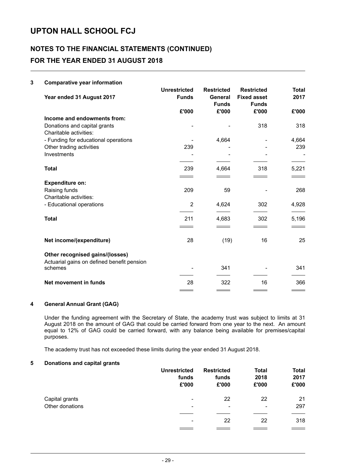# **NOTES TO THE FINANCIAL STATEMENTS (CONTINUED) FOR THE YEAR ENDED 31 AUGUST 2018**

### **3 Comparative year information**

| Year ended 31 August 2017                             | <b>Unrestricted</b><br><b>Funds</b> | <b>Restricted</b><br>General<br><b>Funds</b> | <b>Restricted</b><br><b>Fixed asset</b><br><b>Funds</b> | <b>Total</b><br>2017 |
|-------------------------------------------------------|-------------------------------------|----------------------------------------------|---------------------------------------------------------|----------------------|
|                                                       | £'000                               | £'000                                        | £'000                                                   | £'000                |
| Income and endowments from:                           |                                     |                                              |                                                         |                      |
| Donations and capital grants                          |                                     |                                              | 318                                                     | 318                  |
| Charitable activities:                                |                                     |                                              |                                                         |                      |
| - Funding for educational operations                  |                                     | 4,664                                        |                                                         | 4,664                |
| Other trading activities                              | 239                                 |                                              |                                                         | 239                  |
| Investments                                           |                                     |                                              |                                                         |                      |
|                                                       |                                     |                                              |                                                         |                      |
| <b>Total</b>                                          | 239                                 | 4,664                                        | 318                                                     | 5,221                |
|                                                       |                                     |                                              |                                                         |                      |
| <b>Expenditure on:</b>                                |                                     |                                              |                                                         |                      |
| Raising funds                                         | 209                                 | 59                                           |                                                         | 268                  |
| Charitable activities:                                |                                     |                                              |                                                         |                      |
| - Educational operations                              | 2                                   | 4,624                                        | 302                                                     | 4,928                |
| <b>Total</b>                                          | 211                                 | 4,683                                        | 302                                                     | 5,196                |
|                                                       | $\sim$ $\sim$                       | $\overline{\phantom{a}}$                     |                                                         |                      |
| Net income/(expenditure)                              | 28                                  | (19)                                         | 16                                                      | 25                   |
| Other recognised gains/(losses)                       |                                     |                                              |                                                         |                      |
| Actuarial gains on defined benefit pension<br>schemes |                                     | 341                                          |                                                         | 341                  |
| Net movement in funds                                 | 28                                  | 322                                          | 16                                                      | 366                  |
|                                                       |                                     |                                              |                                                         |                      |

### **4 General Annual Grant (GAG)**

Under the funding agreement with the Secretary of State, the academy trust was subject to limits at 31 August 2018 on the amount of GAG that could be carried forward from one year to the next. An amount equal to 12% of GAG could be carried forward, with any balance being available for premises/capital purposes.

The academy trust has not exceeded these limits during the year ended 31 August 2018.

### **5 Donations and capital grants**

|                 | <b>Unrestricted</b><br>funds<br>£'000 | <b>Restricted</b><br>funds<br>£'000 | <b>Total</b><br>2018<br>£'000 | <b>Total</b><br>2017<br>£'000 |
|-----------------|---------------------------------------|-------------------------------------|-------------------------------|-------------------------------|
| Capital grants  | $\overline{\phantom{a}}$              | 22                                  | 22                            | 21                            |
| Other donations | $\overline{\phantom{a}}$              | -                                   | $\overline{\phantom{0}}$      | 297                           |
|                 | $\overline{\phantom{a}}$              | 22                                  | 22                            | 318                           |
|                 |                                       |                                     |                               |                               |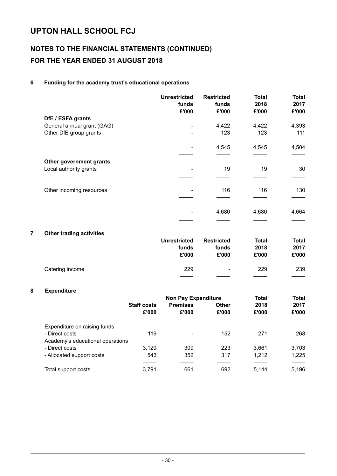# **NOTES TO THE FINANCIAL STATEMENTS (CONTINUED) FOR THE YEAR ENDED 31 AUGUST 2018**

### **6 Funding for the academy trust's educational operations**

|                            | <b>Unrestricted</b><br>funds<br>£'000 | <b>Restricted</b><br>funds<br>£'000 | <b>Total</b><br>2018<br>£'000 | <b>Total</b><br>2017<br>£'000 |
|----------------------------|---------------------------------------|-------------------------------------|-------------------------------|-------------------------------|
| DfE / ESFA grants          |                                       |                                     |                               |                               |
| General annual grant (GAG) | $\overline{\phantom{a}}$              | 4,422                               | 4,422                         | 4,393                         |
| Other DfE group grants     | $\overline{\phantom{a}}$              | 123                                 | 123                           | 111                           |
|                            |                                       |                                     |                               |                               |
|                            |                                       | 4,545                               | 4,545                         | 4,504                         |
|                            |                                       |                                     |                               |                               |
| Other government grants    |                                       |                                     |                               |                               |
| Local authority grants     |                                       | 19                                  | 19                            | 30                            |
|                            |                                       |                                     |                               |                               |
| Other incoming resources   | -                                     | 116                                 | 116                           | 130                           |
|                            |                                       |                                     |                               |                               |
|                            |                                       | 4,680                               | 4,680                         | 4,664                         |
|                            |                                       |                                     |                               |                               |

### **7 Other trading activities**

|                 | <b>Unrestricted</b><br>funds<br>£'000 | <b>Restricted</b><br>funds<br>£'000 | <b>Total</b><br>2018<br>£'000 | Total<br>2017<br>£'000   |
|-----------------|---------------------------------------|-------------------------------------|-------------------------------|--------------------------|
| Catering income | 229                                   | $\overline{\phantom{0}}$            | 229                           | 239                      |
|                 | $\overline{\phantom{a}}$              |                                     | <u>___</u> _                  | <b>Contract Contract</b> |

### **8 Expenditure**

|                                  |                    | <b>Non Pay Expenditure</b> |              |       | <b>Total</b> |  |
|----------------------------------|--------------------|----------------------------|--------------|-------|--------------|--|
|                                  | <b>Staff costs</b> | <b>Premises</b>            | <b>Other</b> | 2018  | 2017         |  |
|                                  | £'000              | £'000                      | £'000        | £'000 | £'000        |  |
| Expenditure on raising funds     |                    |                            |              |       |              |  |
| - Direct costs                   | 119                |                            | 152          | 271   | 268          |  |
| Academy's educational operations |                    |                            |              |       |              |  |
| - Direct costs                   | 3.129              | 309                        | 223          | 3.661 | 3,703        |  |
| - Allocated support costs        | 543                | 352                        | 317          | 1,212 | 1,225        |  |
|                                  |                    |                            |              |       |              |  |
| Total support costs              | 3,791              | 661                        | 692          | 5,144 | 5,196        |  |
|                                  |                    |                            |              |       |              |  |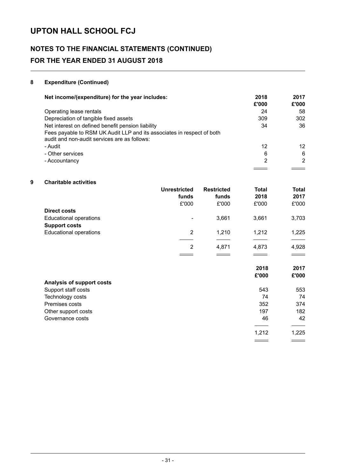# **NOTES TO THE FINANCIAL STATEMENTS (CONTINUED) FOR THE YEAR ENDED 31 AUGUST 2018**

### **8 Expenditure (Continued)**

| Net income/(expenditure) for the year includes:                                                                        | 2018<br>£'000 | 2017<br>£'000 |
|------------------------------------------------------------------------------------------------------------------------|---------------|---------------|
| Operating lease rentals                                                                                                | 24            | 58            |
| Depreciation of tangible fixed assets                                                                                  | 309           | 302           |
| Net interest on defined benefit pension liability                                                                      | 34            | 36            |
| Fees payable to RSM UK Audit LLP and its associates in respect of both<br>audit and non-audit services are as follows: |               |               |
| - Audit                                                                                                                | 12            | 12            |
| - Other services                                                                                                       | 6             | 6             |
| - Accountancy                                                                                                          | 2             | 2             |
|                                                                                                                        |               |               |

### **9 Charitable activities**

|                               | <b>Unrestricted</b> | <b>Restricted</b> | <b>Total</b> | <b>Total</b> |
|-------------------------------|---------------------|-------------------|--------------|--------------|
|                               | funds               | funds             | 2018         | 2017         |
|                               | £'000               | £'000             | £'000        | £'000        |
| <b>Direct costs</b>           |                     |                   |              |              |
| <b>Educational operations</b> | -                   | 3.661             | 3.661        | 3,703        |
| <b>Support costs</b>          |                     |                   |              |              |
| <b>Educational operations</b> | 2                   | 1.210             | 1.212        | 1,225        |
|                               |                     |                   |              |              |
|                               | 2                   | 4.871             | 4.873        | 4,928        |

 $\equiv$ 

 $=$ 

 $\equiv$ 

 $\equiv$ 

|                           | 2018<br>£'000 | 2017<br>£'000 |
|---------------------------|---------------|---------------|
| Analysis of support costs |               |               |
| Support staff costs       | 543           | 553           |
| Technology costs          | 74            | 74            |
| Premises costs            | 352           | 374           |
| Other support costs       | 197           | 182           |
| Governance costs          | 46            | 42            |
|                           |               |               |
|                           | 1,212         | 1,225         |
|                           |               |               |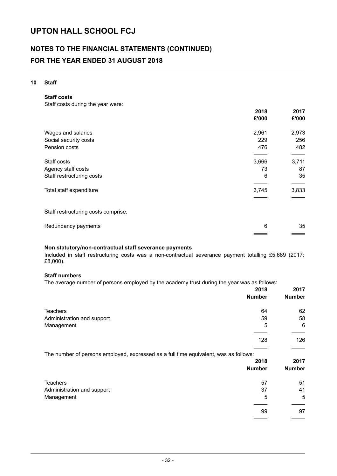### **NOTES TO THE FINANCIAL STATEMENTS (CONTINUED) FOR THE YEAR ENDED 31 AUGUST 2018**

### **10 Staff**

**Staff costs**

Staff costs during the year were:

|                                     | 2018  | 2017  |
|-------------------------------------|-------|-------|
|                                     | £'000 | £'000 |
| Wages and salaries                  | 2,961 | 2,973 |
| Social security costs               | 229   | 256   |
| Pension costs                       | 476   | 482   |
| Staff costs                         | 3,666 | 3,711 |
| Agency staff costs                  | 73    | 87    |
| Staff restructuring costs           | 6     | 35    |
| Total staff expenditure             | 3,745 | 3,833 |
|                                     |       |       |
| Staff restructuring costs comprise: |       |       |
| Redundancy payments                 | 6     | 35    |

### **Non statutory/non-contractual staff severance payments**

Included in staff restructuring costs was a non-contractual severance payment totalling £5,689 (2017: £8,000).

### **Staff numbers**

The average number of persons employed by the academy trust during the year was as follows:

|                                                                                      | 2018<br><b>Number</b> | 2017<br><b>Number</b> |
|--------------------------------------------------------------------------------------|-----------------------|-----------------------|
| <b>Teachers</b>                                                                      | 64                    | 62                    |
| Administration and support                                                           | 59                    | 58                    |
| Management                                                                           | 5                     | 6                     |
|                                                                                      | 128                   | 126                   |
| The number of persons employed, expressed as a full time equivalent, was as follows: |                       |                       |
|                                                                                      | 2018                  | 2017                  |
|                                                                                      | <b>Number</b>         | <b>Number</b>         |
| <b>Teachers</b>                                                                      | 57                    | 51                    |
| Administration and support                                                           | 37                    | 41                    |
| Management                                                                           | 5                     | 5                     |
|                                                                                      | 99                    | 97                    |
|                                                                                      |                       |                       |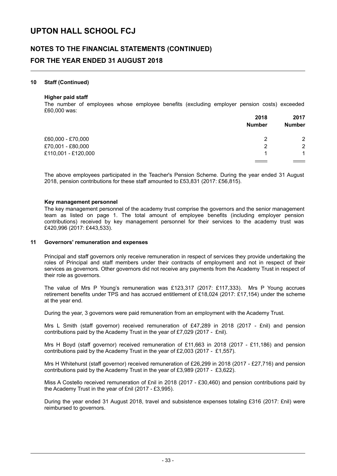### **NOTES TO THE FINANCIAL STATEMENTS (CONTINUED) FOR THE YEAR ENDED 31 AUGUST 2018**

#### **10 Staff (Continued)**

#### **Higher paid staff**

The number of employees whose employee benefits (excluding employer pension costs) exceeded £60,000 was:

|                     | 2018          | 2017<br><b>Number</b> |
|---------------------|---------------|-----------------------|
|                     | <b>Number</b> |                       |
| £60,000 - £70,000   | 2             | $\overline{2}$        |
| £70,001 - £80,000   | 2             | $\overline{2}$        |
| £110,001 - £120,000 | 1             | 1                     |
|                     |               |                       |

The above employees participated in the Teacher's Pension Scheme. During the year ended 31 August 2018, pension contributions for these staff amounted to £53,831 (2017: £56,815).

#### **Key management personnel**

The key management personnel of the academy trust comprise the governors and the senior management team as listed on page 1. The total amount of employee benefits (including employer pension contributions) received by key management personnel for their services to the academy trust was £420,996 (2017: £443,533).

#### **11 Governors' remuneration and expenses**

Principal and staff governors only receive remuneration in respect of services they provide undertaking the roles of Principal and staff members under their contracts of employment and not in respect of their services as governors. Other governors did not receive any payments from the Academy Trust in respect of their role as governors.

The value of Mrs P Young's remuneration was £123,317 (2017: £117,333). Mrs P Young accrues retirement benefits under TPS and has accrued entitlement of £18,024 (2017: £17,154) under the scheme at the year end.

During the year, 3 governors were paid remuneration from an employment with the Academy Trust.

Mrs L Smith (staff governor) received remuneration of £47,289 in 2018 (2017 - £nil) and pension contributions paid by the Academy Trust in the year of £7,029 (2017 - £nil).

Mrs H Boyd (staff governor) received remuneration of £11,663 in 2018 (2017 - £11,186) and pension contributions paid by the Academy Trust in the year of £2,003 (2017 - £1,557).

Mrs H Whitehurst (staff governor) received remuneration of £26,299 in 2018 (2017 - £27,716) and pension contributions paid by the Academy Trust in the year of £3,989 (2017 - £3,622).

Miss A Costello received remuneration of £nil in 2018 (2017 - £30,460) and pension contributions paid by the Academy Trust in the year of £nil (2017 - £3,995).

During the year ended 31 August 2018, travel and subsistence expenses totaling £316 (2017: £nil) were reimbursed to governors.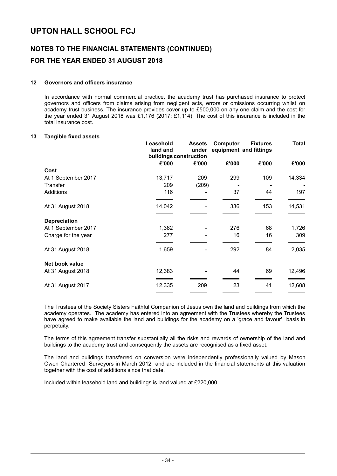# **NOTES TO THE FINANCIAL STATEMENTS (CONTINUED) FOR THE YEAR ENDED 31 AUGUST 2018**

#### **12 Governors and officers insurance**

In accordance with normal commercial practice, the academy trust has purchased insurance to protect governors and officers from claims arising from negligent acts, errors or omissions occurring whilst on academy trust business. The insurance provides cover up to £500,000 on any one claim and the cost for the year ended 31 August 2018 was £1,176 (2017: £1,114). The cost of this insurance is included in the total insurance cost.

#### **13 Tangible fixed assets**

|                     | Leasehold<br>land and | <b>Assets</b><br>under<br>buildings construction | <b>Computer</b> | <b>Fixtures</b><br>equipment and fittings | <b>Total</b> |
|---------------------|-----------------------|--------------------------------------------------|-----------------|-------------------------------------------|--------------|
|                     | £'000                 | £'000                                            | £'000           | £'000                                     | £'000        |
| Cost                |                       |                                                  |                 |                                           |              |
| At 1 September 2017 | 13,717                | 209                                              | 299             | 109                                       | 14,334       |
| Transfer            | 209                   | (209)                                            |                 |                                           |              |
| Additions           | 116                   |                                                  | 37              | 44                                        | 197          |
| At 31 August 2018   | 14,042                |                                                  | 336             | 153                                       | 14,531       |
| <b>Depreciation</b> |                       |                                                  |                 |                                           |              |
| At 1 September 2017 | 1,382                 |                                                  | 276             | 68                                        | 1,726        |
| Charge for the year | 277                   |                                                  | 16              | 16                                        | 309          |
| At 31 August 2018   | 1,659                 |                                                  | 292             | 84                                        | 2,035        |
| Net book value      |                       |                                                  |                 |                                           |              |
| At 31 August 2018   | 12,383                |                                                  | 44              | 69                                        | 12,496       |
| At 31 August 2017   | 12,335                | 209                                              | 23              | 41                                        | 12,608       |
|                     |                       |                                                  |                 |                                           |              |

The Trustees of the Society Sisters Faithful Companion of Jesus own the land and buildings from which the academy operates. The academy has entered into an agreement with the Trustees whereby the Trustees have agreed to make available the land and buildings for the academy on a 'grace and favour' basis in perpetuity.

The terms of this agreement transfer substantially all the risks and rewards of ownership of the land and buildings to the academy trust and consequently the assets are recognised as a fixed asset.

The land and buildings transferred on conversion were independently professionally valued by Mason Owen Chartered Surveyors in March 2012 and are included in the financial statements at this valuation together with the cost of additions since that date.

Included within leasehold land and buildings is land valued at £220,000.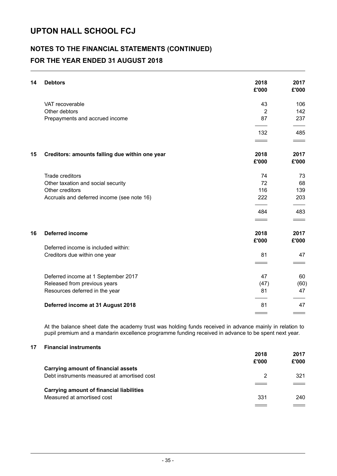### **NOTES TO THE FINANCIAL STATEMENTS (CONTINUED) FOR THE YEAR ENDED 31 AUGUST 2018**

| 14 | <b>Debtors</b>                                 | 2018<br>£'000      | 2017<br>£'000 |
|----|------------------------------------------------|--------------------|---------------|
|    | VAT recoverable                                | 43                 | 106           |
|    | Other debtors                                  | $\overline{2}$     | 142           |
|    | Prepayments and accrued income                 | 87                 | 237           |
|    |                                                | 132                | 485           |
|    |                                                | $\hspace{1.5cm} =$ | $\sim$        |
| 15 | Creditors: amounts falling due within one year | 2018               | 2017          |
|    |                                                | £'000              | £'000         |
|    | Trade creditors                                | 74                 | 73            |
|    | Other taxation and social security             | 72                 | 68            |
|    | Other creditors                                | 116                | 139           |
|    | Accruals and deferred income (see note 16)     | 222                | 203           |
|    |                                                | 484                | 483           |
|    |                                                |                    |               |
| 16 | <b>Deferred income</b>                         | 2018               | 2017          |
|    |                                                | £'000              | £'000         |
|    | Deferred income is included within:            |                    |               |
|    | Creditors due within one year                  | 81                 | 47            |
|    |                                                |                    |               |
|    | Deferred income at 1 September 2017            | 47                 | 60            |
|    | Released from previous years                   | (47)               | (60)          |
|    | Resources deferred in the year                 | 81                 | 47            |
|    | Deferred income at 31 August 2018              | 81                 | 47            |
|    |                                                |                    |               |

At the balance sheet date the academy trust was holding funds received in advance mainly in relation to pupil premium and a mandarin excellence programme funding received in advance to be spent next year.

### **17 Financial instruments**

|                                                 | 2018  | 2017  |
|-------------------------------------------------|-------|-------|
|                                                 | £'000 | £'000 |
| <b>Carrying amount of financial assets</b>      |       |       |
| Debt instruments measured at amortised cost     | 2     | 321   |
|                                                 |       |       |
| <b>Carrying amount of financial liabilities</b> |       |       |
| Measured at amortised cost                      | 331   | 240   |
|                                                 |       |       |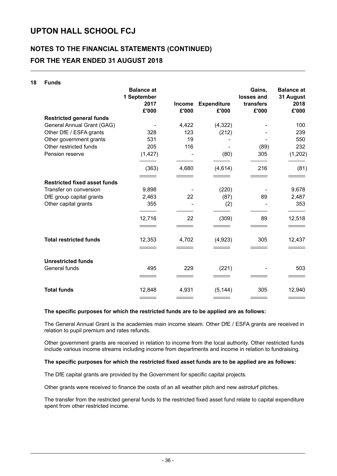# **NOTES TO THE FINANCIAL STATEMENTS (CONTINUED) FOR THE YEAR ENDED 31 AUGUST 2018**

| 18 | <b>Funds</b>                        |                                  |               |                    |                      |                                |
|----|-------------------------------------|----------------------------------|---------------|--------------------|----------------------|--------------------------------|
|    |                                     | <b>Balance at</b><br>1 September |               |                    | Gains,<br>losses and | <b>Balance at</b><br>31 August |
|    |                                     | 2017                             | <b>Income</b> | <b>Expenditure</b> | transfers            | 2018                           |
|    |                                     | £'000                            | £'000         | £'000              | £'000                | £'000                          |
|    | <b>Restricted general funds</b>     |                                  |               |                    |                      |                                |
|    | General Annual Grant (GAG)          |                                  | 4,422         | (4,322)            |                      | 100                            |
|    | Other DfE / ESFA grants             | 328                              | 123           | (212)              |                      | 239                            |
|    | Other government grants             | 531                              | 19            |                    |                      | 550                            |
|    | Other restricted funds              | 205                              | 116           |                    | (89)                 | 232                            |
|    | Pension reserve                     | (1, 427)                         |               | (80)               | 305                  | (1, 202)                       |
|    |                                     | (363)                            | 4,680         | (4,614)            | 216                  | (81)                           |
|    |                                     |                                  |               |                    |                      |                                |
|    | <b>Restricted fixed asset funds</b> |                                  |               |                    |                      |                                |
|    | Transfer on conversion              | 9,898                            |               | (220)              |                      | 9,678                          |
|    | DfE group capital grants            | 2,463                            | 22            | (87)               | 89                   | 2,487                          |
|    | Other capital grants                | 355                              |               | (2)                |                      | 353                            |
|    |                                     | 12,716                           | 22            | (309)              | 89                   | 12,518                         |
|    |                                     |                                  |               |                    |                      |                                |
|    | <b>Total restricted funds</b>       | 12,353                           | 4,702         | (4,923)            | 305                  | 12,437                         |
|    |                                     |                                  |               |                    |                      |                                |
|    | <b>Unrestricted funds</b>           |                                  |               |                    |                      |                                |
|    | General funds                       | 495                              | 229           | (221)              |                      | 503                            |
|    |                                     |                                  |               |                    |                      |                                |
|    | <b>Total funds</b>                  | 12,848                           | 4,931         | (5, 144)           | 305                  | 12,940                         |
|    |                                     |                                  |               |                    |                      |                                |

#### **The specific purposes for which the restricted funds are to be applied are as follows:**

The General Annual Grant is the academies main income steam. Other DfE / ESFA grants are received in relation to pupil premium and rates refunds.

Other government grants are received in relation to income from the local authority. Other restricted funds include various income streams including income from departments and income in relation to fundraising.

### **The specific purposes for which the restricted fixed asset funds are to be applied are as follows:**

The DfE capital grants are provided by the Government for specific capital projects.

Other grants were received to finance the costs of an all weather pitch and new astroturf pitches.

The transfer from the restricted general funds to the restricted fixed asset fund relate to capital expenditure spent from other restricted income.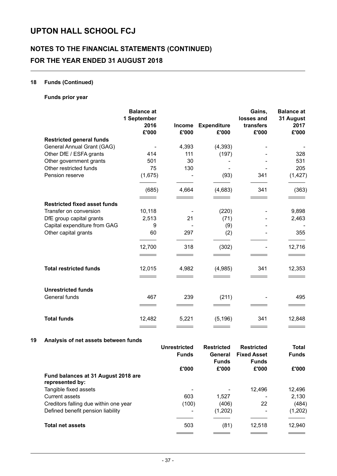# **NOTES TO THE FINANCIAL STATEMENTS (CONTINUED) FOR THE YEAR ENDED 31 AUGUST 2018**

### **18 Funds (Continued)**

### **Funds prior year**

|                                     | <b>Balance at</b><br>1 September<br>2016<br>£'000 | <b>Income</b><br>£'000 | <b>Expenditure</b><br>£'000 | Gains,<br>losses and<br>transfers<br>£'000 | <b>Balance at</b><br>31 August<br>2017<br>£'000 |
|-------------------------------------|---------------------------------------------------|------------------------|-----------------------------|--------------------------------------------|-------------------------------------------------|
| <b>Restricted general funds</b>     |                                                   |                        |                             |                                            |                                                 |
| General Annual Grant (GAG)          |                                                   | 4,393                  | (4, 393)                    |                                            |                                                 |
| Other DfE / ESFA grants             | 414                                               | 111                    | (197)                       |                                            | 328                                             |
| Other government grants             | 501                                               | 30                     |                             |                                            | 531                                             |
| Other restricted funds              | 75                                                | 130                    |                             |                                            | 205                                             |
| Pension reserve                     | (1,675)                                           |                        | (93)                        | 341                                        | (1, 427)                                        |
|                                     | (685)                                             | 4,664                  | (4,683)                     | 341                                        | (363)                                           |
| <b>Restricted fixed asset funds</b> |                                                   |                        |                             |                                            |                                                 |
| Transfer on conversion              | 10,118                                            |                        | (220)                       |                                            | 9,898                                           |
| DfE group capital grants            | 2,513                                             | 21                     | (71)                        |                                            | 2,463                                           |
| Capital expenditure from GAG        | 9                                                 |                        | (9)                         |                                            |                                                 |
| Other capital grants                | 60                                                | 297                    | (2)                         |                                            | 355                                             |
|                                     | 12,700                                            | 318                    | (302)                       |                                            | 12,716                                          |
|                                     |                                                   |                        |                             |                                            |                                                 |
| <b>Total restricted funds</b>       | 12,015                                            | 4,982                  | (4,985)                     | 341                                        | 12,353                                          |
|                                     |                                                   |                        |                             |                                            |                                                 |
| <b>Unrestricted funds</b>           |                                                   |                        |                             |                                            |                                                 |
| General funds                       | 467                                               | 239                    | (211)                       |                                            | 495                                             |
|                                     |                                                   |                        |                             |                                            |                                                 |
| <b>Total funds</b>                  | 12,482                                            | 5,221                  | (5, 196)                    | 341                                        | 12,848                                          |

### **19 Analysis of net assets between funds**

|                                                        | <b>Unrestricted</b><br><b>Funds</b> | <b>Restricted</b><br>General<br><b>Funds</b> | <b>Restricted</b><br><b>Fixed Asset</b><br><b>Funds</b> | <b>Total</b><br><b>Funds</b> |
|--------------------------------------------------------|-------------------------------------|----------------------------------------------|---------------------------------------------------------|------------------------------|
|                                                        | £'000                               | £'000                                        | £'000                                                   | £'000                        |
| Fund balances at 31 August 2018 are<br>represented by: |                                     |                                              |                                                         |                              |
| Tangible fixed assets                                  |                                     |                                              | 12,496                                                  | 12,496                       |
| <b>Current assets</b>                                  | 603                                 | 1,527                                        |                                                         | 2,130                        |
| Creditors falling due within one year                  | (100)                               | (406)                                        | 22                                                      | (484)                        |
| Defined benefit pension liability                      |                                     | (1,202)                                      | -                                                       | (1, 202)                     |
| <b>Total net assets</b>                                | 503                                 | (81)                                         | 12,518                                                  | 12,940                       |
|                                                        |                                     |                                              |                                                         |                              |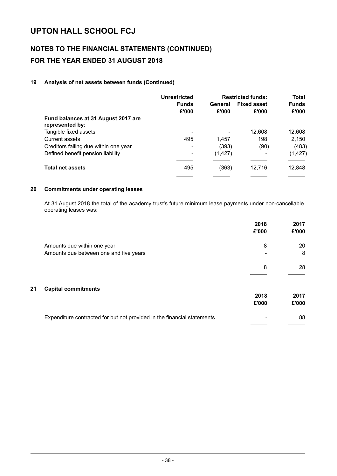# **NOTES TO THE FINANCIAL STATEMENTS (CONTINUED) FOR THE YEAR ENDED 31 AUGUST 2018**

### **19 Analysis of net assets between funds (Continued)**

|                                                        | Unrestricted          | <b>Restricted funds:</b> |                             | Total                 |
|--------------------------------------------------------|-----------------------|--------------------------|-----------------------------|-----------------------|
|                                                        | <b>Funds</b><br>£'000 | General<br>£'000         | <b>Fixed asset</b><br>£'000 | <b>Funds</b><br>£'000 |
| Fund balances at 31 August 2017 are<br>represented by: |                       |                          |                             |                       |
| Tangible fixed assets                                  | -                     |                          | 12,608                      | 12,608                |
| Current assets                                         | 495                   | 1,457                    | 198                         | 2,150                 |
| Creditors falling due within one year                  | -                     | (393)                    | (90)                        | (483)                 |
| Defined benefit pension liability                      | -                     | (1, 427)                 |                             | (1, 427)              |
| <b>Total net assets</b>                                | 495                   | (363)                    | 12,716                      | 12,848                |
|                                                        |                       |                          |                             |                       |

### **20 Commitments under operating leases**

At 31 August 2018 the total of the academy trust's future minimum lease payments under non-cancellable operating leases was:

|                                  |                                                                         | 2018<br>£'000 | 2017<br>£'000 |
|----------------------------------|-------------------------------------------------------------------------|---------------|---------------|
| Amounts due within one year      |                                                                         | 8             | 20            |
|                                  | Amounts due between one and five years                                  |               | 8             |
|                                  |                                                                         | 8             | 28            |
|                                  |                                                                         |               |               |
| 21<br><b>Capital commitments</b> |                                                                         |               |               |
|                                  |                                                                         | 2018<br>£'000 | 2017<br>£'000 |
|                                  | Expenditure contracted for but not provided in the financial statements |               | 88            |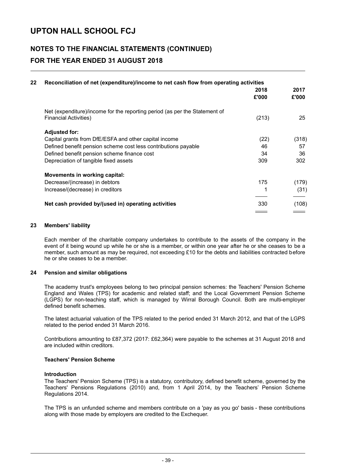### **NOTES TO THE FINANCIAL STATEMENTS (CONTINUED) FOR THE YEAR ENDED 31 AUGUST 2018**

| 22 | Reconciliation of net (expenditure)/income to net cash flow from operating activities | 2018<br>£'000 | 2017<br>£'000 |
|----|---------------------------------------------------------------------------------------|---------------|---------------|
|    | Net (expenditure)/income for the reporting period (as per the Statement of            |               |               |
|    | <b>Financial Activities)</b>                                                          | (213)         | 25            |
|    | <b>Adjusted for:</b>                                                                  |               |               |
|    | Capital grants from DfE/ESFA and other capital income                                 | (22)          | (318)         |
|    | Defined benefit pension scheme cost less contributions payable                        | 46            | 57            |
|    | Defined benefit pension scheme finance cost                                           | 34            | 36            |
|    | Depreciation of tangible fixed assets                                                 | 309           | 302           |
|    | Movements in working capital:                                                         |               |               |
|    | Decrease/(increase) in debtors                                                        | 175           | (179)         |
|    | Increase/(decrease) in creditors                                                      | 1             | (31)          |
|    | Net cash provided by/(used in) operating activities                                   | 330           | (108)         |
|    |                                                                                       |               |               |

### **23 Members' liability**

Each member of the charitable company undertakes to contribute to the assets of the company in the event of it being wound up while he or she is a member, or within one year after he or she ceases to be a member, such amount as may be required, not exceeding £10 for the debts and liabilities contracted before he or she ceases to be a member.

#### **24 Pension and similar obligations**

The academy trust's employees belong to two principal pension schemes: the Teachers' Pension Scheme England and Wales (TPS) for academic and related staff; and the Local Government Pension Scheme (LGPS) for non-teaching staff, which is managed by Wirral Borough Council. Both are multi-employer defined benefit schemes.

The latest actuarial valuation of the TPS related to the period ended 31 March 2012, and that of the LGPS related to the period ended 31 March 2016.

Contributions amounting to £87,372 (2017: £62,364) were payable to the schemes at 31 August 2018 and are included within creditors.

### **Teachers' Pension Scheme**

### **Introduction**

The Teachers' Pension Scheme (TPS) is a statutory, contributory, defined benefit scheme, governed by the Teachers' Pensions Regulations (2010) and, from 1 April 2014, by the Teachers' Pension Scheme Regulations 2014.

The TPS is an unfunded scheme and members contribute on a 'pay as you go' basis - these contributions along with those made by employers are credited to the Exchequer.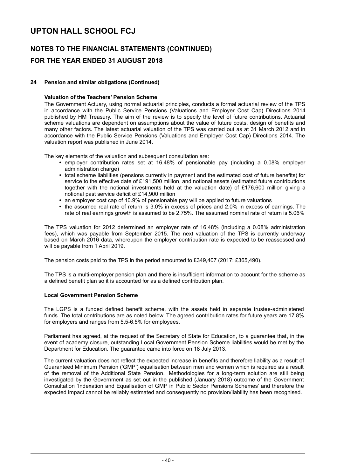### **NOTES TO THE FINANCIAL STATEMENTS (CONTINUED) FOR THE YEAR ENDED 31 AUGUST 2018**

### **24 Pension and similar obligations (Continued)**

### **Valuation of the Teachers' Pension Scheme**

The Government Actuary, using normal actuarial principles, conducts a formal actuarial review of the TPS in accordance with the Public Service Pensions (Valuations and Employer Cost Cap) Directions 2014 published by HM Treasury. The aim of the review is to specify the level of future contributions. Actuarial scheme valuations are dependent on assumptions about the value of future costs, design of benefits and many other factors. The latest actuarial valuation of the TPS was carried out as at 31 March 2012 and in accordance with the Public Service Pensions (Valuations and Employer Cost Cap) Directions 2014. The valuation report was published in June 2014.

The key elements of the valuation and subsequent consultation are:

- employer contribution rates set at 16.48% of pensionable pay (including a 0.08% employer administration charge)
- total scheme liabilities (pensions currently in payment and the estimated cost of future benefits) for service to the effective date of £191,500 million, and notional assets (estimated future contributions together with the notional investments held at the valuation date) of £176,600 million giving a notional past service deficit of £14,900 million
- an employer cost cap of 10.9% of pensionable pay will be applied to future valuations
- the assumed real rate of return is 3.0% in excess of prices and 2.0% in excess of earnings. The rate of real earnings growth is assumed to be 2.75%. The assumed nominal rate of return is 5.06%

The TPS valuation for 2012 determined an employer rate of 16.48% (including a 0.08% administration fees), which was payable from September 2015. The next valuation of the TPS is currently underway based on March 2016 data, whereupon the employer contribution rate is expected to be reassessed and will be payable from 1 April 2019.

The pension costs paid to the TPS in the period amounted to £349,407 (2017: £365,490).

The TPS is a multi-employer pension plan and there is insufficient information to account for the scheme as a defined benefit plan so it is accounted for as a defined contribution plan.

#### **Local Government Pension Scheme**

The LGPS is a funded defined benefit scheme, with the assets held in separate trustee-administered funds. The total contributions are as noted below. The agreed contribution rates for future years are 17.8% for employers and ranges from 5.5-6.5% for employees.

Parliament has agreed, at the request of the Secretary of State for Education, to a guarantee that, in the event of academy closure, outstanding Local Government Pension Scheme liabilities would be met by the Department for Education. The guarantee came into force on 18 July 2013.

The current valuation does not reflect the expected increase in benefits and therefore liability as a result of Guaranteed Minimum Pension ('GMP') equalisation between men and women which is required as a result of the removal of the Additional State Pension. Methodologies for a long-term solution are still being investigated by the Government as set out in the published (January 2018) outcome of the Government Consultation 'Indexation and Equalisation of GMP in Public Sector Pensions Schemes' and therefore the expected impact cannot be reliably estimated and consequently no provision/liability has been recognised.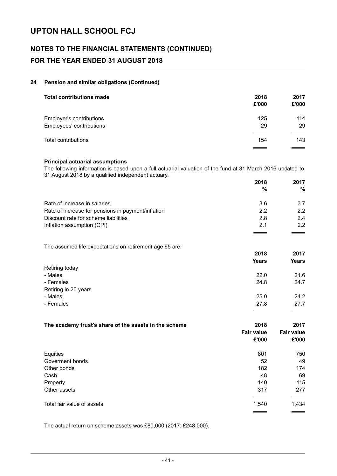# **NOTES TO THE FINANCIAL STATEMENTS (CONTINUED) FOR THE YEAR ENDED 31 AUGUST 2018**

### **24 Pension and similar obligations (Continued)**

| <b>Total contributions made</b>                      | 2018<br>£'000 | 2017<br>£'000 |
|------------------------------------------------------|---------------|---------------|
| Employer's contributions<br>Employees' contributions | 125<br>29     | 114<br>29     |
|                                                      |               |               |
| Total contributions                                  | 154           | 143           |

### **Principal actuarial assumptions**

The following information is based upon a full actuarial valuation of the fund at 31 March 2016 updated to 31 August 2018 by a qualified independent actuary.

|                                                    | 2018 | 2017 |
|----------------------------------------------------|------|------|
|                                                    | %    | $\%$ |
| Rate of increase in salaries                       | 3.6  | 3.7  |
| Rate of increase for pensions in payment/inflation | 22   | 2.2  |
| Discount rate for scheme liabilities               | 2.8  | 2.4  |
| Inflation assumption (CPI)                         | 2.1  | 2.2  |
|                                                    |      |      |

The assumed life expectations on retirement age 65 are: **2018 2017 Years Years** Retiring today - Males 22.0 21.6 - Females 24.8 24.7 Retiring in 20 years - Males 25.0 24.2 - Females 27.8 27.7

| The academy trust's share of the assets in the scheme | 2018<br><b>Fair value</b><br>£'000 | 2017<br><b>Fair value</b><br>£'000 |
|-------------------------------------------------------|------------------------------------|------------------------------------|
| Equities                                              | 801                                | 750                                |
| Goverment bonds                                       | 52                                 | 49                                 |
| Other bonds                                           | 182                                | 174                                |
| Cash                                                  | 48                                 | 69                                 |
| Property                                              | 140                                | 115                                |
| Other assets                                          | 317                                | 277                                |
| Total fair value of assets                            | 1,540                              | 1,434                              |
|                                                       |                                    | $\sim$ $\sim$                      |

The actual return on scheme assets was £80,000 (2017: £248,000).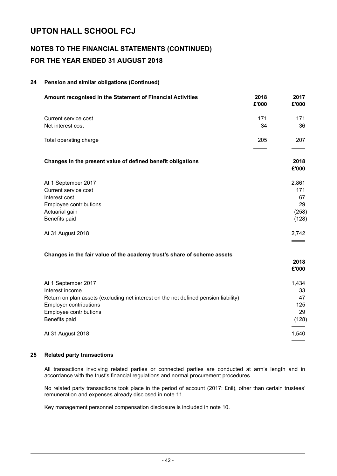# **NOTES TO THE FINANCIAL STATEMENTS (CONTINUED) FOR THE YEAR ENDED 31 AUGUST 2018**

| 24 | Pension and similar obligations (Continued)                                         |                                                                                                                                                                                                                                                                                                                                                                                                                                                                                   |                          |
|----|-------------------------------------------------------------------------------------|-----------------------------------------------------------------------------------------------------------------------------------------------------------------------------------------------------------------------------------------------------------------------------------------------------------------------------------------------------------------------------------------------------------------------------------------------------------------------------------|--------------------------|
|    | Amount recognised in the Statement of Financial Activities                          | 2018<br>£'000                                                                                                                                                                                                                                                                                                                                                                                                                                                                     | 2017<br>£'000            |
|    | Current service cost                                                                | 171                                                                                                                                                                                                                                                                                                                                                                                                                                                                               | 171                      |
|    | Net interest cost                                                                   | 34                                                                                                                                                                                                                                                                                                                                                                                                                                                                                | 36                       |
|    | Total operating charge                                                              | 205<br>$\frac{1}{2} \left( \frac{1}{2} \right) \left( \frac{1}{2} \right) \left( \frac{1}{2} \right) \left( \frac{1}{2} \right) \left( \frac{1}{2} \right) \left( \frac{1}{2} \right) \left( \frac{1}{2} \right) \left( \frac{1}{2} \right) \left( \frac{1}{2} \right) \left( \frac{1}{2} \right) \left( \frac{1}{2} \right) \left( \frac{1}{2} \right) \left( \frac{1}{2} \right) \left( \frac{1}{2} \right) \left( \frac{1}{2} \right) \left( \frac{1}{2} \right) \left( \frac$ | 207<br>$\equiv$ $\equiv$ |
|    | Changes in the present value of defined benefit obligations                         |                                                                                                                                                                                                                                                                                                                                                                                                                                                                                   | 2018<br>£'000            |
|    | At 1 September 2017                                                                 |                                                                                                                                                                                                                                                                                                                                                                                                                                                                                   | 2,861                    |
|    | Current service cost                                                                |                                                                                                                                                                                                                                                                                                                                                                                                                                                                                   | 171                      |
|    | Interest cost                                                                       |                                                                                                                                                                                                                                                                                                                                                                                                                                                                                   | 67                       |
|    | Employee contributions                                                              |                                                                                                                                                                                                                                                                                                                                                                                                                                                                                   | 29                       |
|    | Actuarial gain<br>Benefits paid                                                     |                                                                                                                                                                                                                                                                                                                                                                                                                                                                                   | (258)<br>(128)           |
|    | At 31 August 2018                                                                   |                                                                                                                                                                                                                                                                                                                                                                                                                                                                                   | 2,742                    |
|    | Changes in the fair value of the academy trust's share of scheme assets             |                                                                                                                                                                                                                                                                                                                                                                                                                                                                                   |                          |
|    |                                                                                     |                                                                                                                                                                                                                                                                                                                                                                                                                                                                                   | 2018<br>£'000            |
|    | At 1 September 2017                                                                 |                                                                                                                                                                                                                                                                                                                                                                                                                                                                                   | 1,434                    |
|    | Interest income                                                                     |                                                                                                                                                                                                                                                                                                                                                                                                                                                                                   | 33                       |
|    | Return on plan assets (excluding net interest on the net defined pension liability) |                                                                                                                                                                                                                                                                                                                                                                                                                                                                                   | 47                       |
|    | <b>Employer contributions</b><br>Employee contributions                             |                                                                                                                                                                                                                                                                                                                                                                                                                                                                                   | 125<br>29                |
|    | Benefits paid                                                                       |                                                                                                                                                                                                                                                                                                                                                                                                                                                                                   | (128)                    |
|    | At 31 August 2018                                                                   |                                                                                                                                                                                                                                                                                                                                                                                                                                                                                   | 1,540                    |
|    |                                                                                     |                                                                                                                                                                                                                                                                                                                                                                                                                                                                                   |                          |

### **25 Related party transactions**

All transactions involving related parties or connected parties are conducted at arm's length and in accordance with the trust's financial regulations and normal procurement procedures.

No related party transactions took place in the period of account (2017: £nil), other than certain trustees' remuneration and expenses already disclosed in note 11.

Key management personnel compensation disclosure is included in note 10.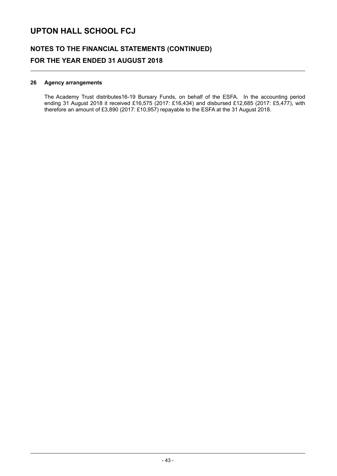### **NOTES TO THE FINANCIAL STATEMENTS (CONTINUED) FOR THE YEAR ENDED 31 AUGUST 2018**

### **26 Agency arrangements**

The Academy Trust distributes16-19 Bursary Funds, on behalf of the ESFA. In the accounting period ending 31 August 2018 it received £16,575 (2017: £16,434) and disbursed £12,685 (2017: £5,477), with therefore an amount of £3,890 (2017: £10,957) repayable to the ESFA at the 31 August 2018.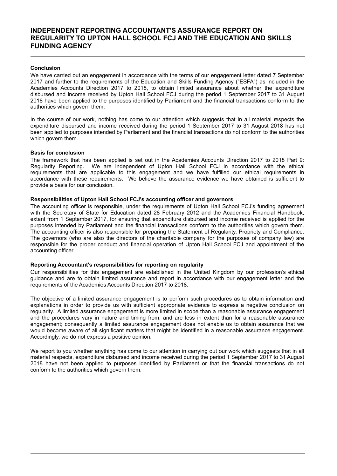### **INDEPENDENT REPORTING ACCOUNTANT'S ASSURANCE REPORT ON REGULARITY TO UPTON HALL SCHOOL FCJ AND THE EDUCATION AND SKILLS FUNDING AGENCY**

### **Conclusion**

We have carried out an engagement in accordance with the terms of our engagement letter dated 7 September 2017 and further to the requirements of the Education and Skills Funding Agency ("ESFA") as included in the Academies Accounts Direction 2017 to 2018, to obtain limited assurance about whether the expenditure disbursed and income received by Upton Hall School FCJ during the period 1 September 2017 to 31 August 2018 have been applied to the purposes identified by Parliament and the financial transactions conform to the authorities which govern them.

In the course of our work, nothing has come to our attention which suggests that in all material respects the expenditure disbursed and income received during the period 1 September 2017 to 31 August 2018 has not been applied to purposes intended by Parliament and the financial transactions do not conform to the authorities which govern them.

#### **Basis for conclusion**

The framework that has been applied is set out in the Academies Accounts Direction 2017 to 2018 Part 9: Regularity Reporting. We are independent of Upton Hall School FCJ in accordance with the ethical requirements that are applicable to this engagement and we have fulfilled our ethical requirements in accordance with these requirements. We believe the assurance evidence we have obtained is sufficient to provide a basis for our conclusion.

#### **Responsibilities of Upton Hall School FCJ's accounting officer and governors**

The accounting officer is responsible, under the requirements of Upton Hall School FCJ's funding agreement with the Secretary of State for Education dated 28 February 2012 and the Academies Financial Handbook, extant from 1 September 2017, for ensuring that expenditure disbursed and income received is applied for the purposes intended by Parliament and the financial transactions conform to the authorities which govern them. The accounting officer is also responsible for preparing the Statement of Regularity, Propriety and Compliance. The governors (who are also the directors of the charitable company for the purposes of company law) are responsible for the proper conduct and financial operation of Upton Hall School FCJ and appointment of the accounting officer.

#### **Reporting Accountant's responsibilities for reporting on regularity**

Our responsibilities for this engagement are established in the United Kingdom by our profession's ethical guidance and are to obtain limited assurance and report in accordance with our engagement letter and the requirements of the Academies Accounts Direction 2017 to 2018.

The objective of a limited assurance engagement is to perform such procedures as to obtain information and explanations in order to provide us with sufficient appropriate evidence to express a negative conclusion on regularity. A limited assurance engagement is more limited in scope than a reasonable assurance engagement and the procedures vary in nature and timing from, and are less in extent than for a reasonable assurance engagement; consequently a limited assurance engagement does not enable us to obtain assurance that we would become aware of all significant matters that might be identified in a reasonable assurance engagement. Accordingly, we do not express a positive opinion.

We report to you whether anything has come to our attention in carrying out our work which suggests that in all material respects, expenditure disbursed and income received during the period 1 September 2017 to 31 August 2018 have not been applied to purposes identified by Parliament or that the financial transactions do not conform to the authorities which govern them.